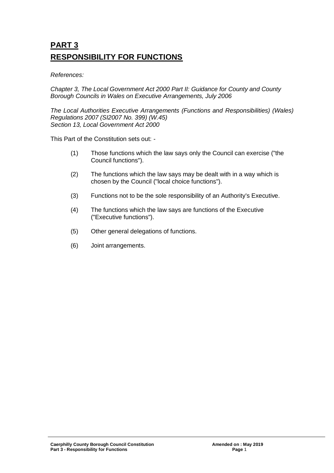# **PART 3 RESPONSIBILITY FOR FUNCTIONS**

*References:* 

*Chapter 3, The Local Government Act 2000 Part II: Guidance for County and County Borough Councils in Wales on Executive Arrangements, July 2006*

*The Local Authorities Executive Arrangements (Functions and Responsibilities) (Wales) Regulations 2007 (SI2007 No. 399) (W.45) Section 13, Local Government Act 2000*

This Part of the Constitution sets out: -

- (1) Those functions which the law says only the Council can exercise ("the Council functions").
- (2) The functions which the law says may be dealt with in a way which is chosen by the Council ("local choice functions").
- (3) Functions not to be the sole responsibility of an Authority's Executive.
- (4) The functions which the law says are functions of the Executive ("Executive functions").
- (5) Other general delegations of functions.
- (6) Joint arrangements.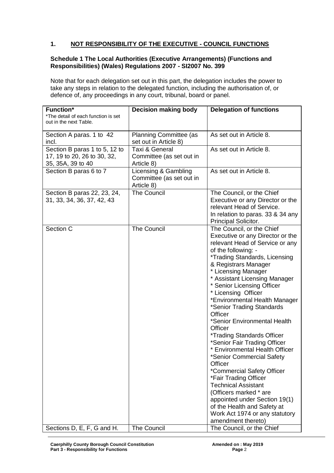# **1. NOT RESPONSIBILITY OF THE EXECUTIVE - COUNCIL FUNCTIONS**

#### **Schedule 1 The Local Authorities (Executive Arrangements) (Functions and Responsibilities) (Wales) Regulations 2007 - SI2007 No. 399**

Note that for each delegation set out in this part, the delegation includes the power to take any steps in relation to the delegated function, including the authorisation of, or defence of, any proceedings in any court, tribunal, board or panel.

| <b>Function*</b><br>*The detail of each function is set                           | <b>Decision making body</b>                                    | <b>Delegation of functions</b>                                                                                                                                                                                                                                                                                                                                                                                                                                                                                                                                                                                                                                                                                                                                                                                 |
|-----------------------------------------------------------------------------------|----------------------------------------------------------------|----------------------------------------------------------------------------------------------------------------------------------------------------------------------------------------------------------------------------------------------------------------------------------------------------------------------------------------------------------------------------------------------------------------------------------------------------------------------------------------------------------------------------------------------------------------------------------------------------------------------------------------------------------------------------------------------------------------------------------------------------------------------------------------------------------------|
| out in the next Table.                                                            |                                                                |                                                                                                                                                                                                                                                                                                                                                                                                                                                                                                                                                                                                                                                                                                                                                                                                                |
| Section A paras. 1 to 42<br>incl.                                                 | <b>Planning Committee (as</b><br>set out in Article 8)         | As set out in Article 8.                                                                                                                                                                                                                                                                                                                                                                                                                                                                                                                                                                                                                                                                                                                                                                                       |
| Section B paras 1 to 5, 12 to<br>17, 19 to 20, 26 to 30, 32,<br>35, 35A, 39 to 40 | Taxi & General<br>Committee (as set out in<br>Article 8)       | As set out in Article 8.                                                                                                                                                                                                                                                                                                                                                                                                                                                                                                                                                                                                                                                                                                                                                                                       |
| Section B paras 6 to 7                                                            | Licensing & Gambling<br>Committee (as set out in<br>Article 8) | As set out in Article 8.                                                                                                                                                                                                                                                                                                                                                                                                                                                                                                                                                                                                                                                                                                                                                                                       |
| Section B paras 22, 23, 24,<br>31, 33, 34, 36, 37, 42, 43                         | <b>The Council</b>                                             | The Council, or the Chief<br>Executive or any Director or the<br>relevant Head of Service.<br>In relation to paras. 33 & 34 any<br>Principal Solicitor.                                                                                                                                                                                                                                                                                                                                                                                                                                                                                                                                                                                                                                                        |
| Section C                                                                         | <b>The Council</b>                                             | The Council, or the Chief<br>Executive or any Director or the<br>relevant Head of Service or any<br>of the following: -<br>*Trading Standards, Licensing<br>& Registrars Manager<br>* Licensing Manager<br>* Assistant Licensing Manager<br>* Senior Licensing Officer<br>* Licensing Officer<br>*Environmental Health Manager<br>*Senior Trading Standards<br>Officer<br>*Senior Environmental Health<br>Officer<br><i><b>*Trading Standards Officer</b></i><br>*Senior Fair Trading Officer<br>* Environmental Health Officer<br>*Senior Commercial Safety<br>Officer<br>*Commercial Safety Officer<br>*Fair Trading Officer<br><b>Technical Assistant</b><br>(Officers marked * are<br>appointed under Section 19(1)<br>of the Health and Safety at<br>Work Act 1974 or any statutory<br>amendment thereto) |
| Sections D, E, F, G and H.                                                        | The Council                                                    | The Council, or the Chief                                                                                                                                                                                                                                                                                                                                                                                                                                                                                                                                                                                                                                                                                                                                                                                      |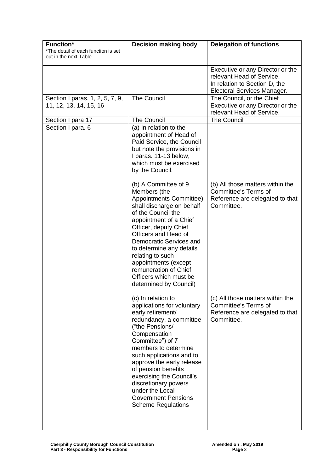| <b>Function*</b><br>*The detail of each function is set   | <b>Decision making body</b>                                                                                                                                                                                                                                                                                                                                                                       | <b>Delegation of functions</b>                                                                                                |
|-----------------------------------------------------------|---------------------------------------------------------------------------------------------------------------------------------------------------------------------------------------------------------------------------------------------------------------------------------------------------------------------------------------------------------------------------------------------------|-------------------------------------------------------------------------------------------------------------------------------|
| out in the next Table.                                    |                                                                                                                                                                                                                                                                                                                                                                                                   |                                                                                                                               |
|                                                           |                                                                                                                                                                                                                                                                                                                                                                                                   | Executive or any Director or the<br>relevant Head of Service.<br>In relation to Section D, the<br>Electoral Services Manager. |
| Section I paras. 1, 2, 5, 7, 9,<br>11, 12, 13, 14, 15, 16 | The Council                                                                                                                                                                                                                                                                                                                                                                                       | The Council, or the Chief<br>Executive or any Director or the<br>relevant Head of Service.                                    |
| Section I para 17                                         | <b>The Council</b>                                                                                                                                                                                                                                                                                                                                                                                | <b>The Council</b>                                                                                                            |
| Section I para. 6                                         | (a) In relation to the<br>appointment of Head of<br>Paid Service, the Council<br>but note the provisions in<br>I paras. 11-13 below,<br>which must be exercised<br>by the Council.                                                                                                                                                                                                                |                                                                                                                               |
|                                                           | (b) A Committee of 9<br>Members (the<br>Appointments Committee)<br>shall discharge on behalf<br>of the Council the<br>appointment of a Chief<br>Officer, deputy Chief<br>Officers and Head of<br>Democratic Services and<br>to determine any details<br>relating to such<br>appointments (except<br>remuneration of Chief<br>Officers which must be<br>determined by Council)                     | (b) All those matters within the<br><b>Committee's Terms of</b><br>Reference are delegated to that<br>Committee.              |
|                                                           | (c) In relation to<br>applications for voluntary<br>early retirement/<br>redundancy, a committee<br>("the Pensions/<br>Compensation<br>Committee") of 7<br>members to determine<br>such applications and to<br>approve the early release<br>of pension benefits<br>exercising the Council's<br>discretionary powers<br>under the Local<br><b>Government Pensions</b><br><b>Scheme Regulations</b> | (c) All those matters within the<br><b>Committee's Terms of</b><br>Reference are delegated to that<br>Committee.              |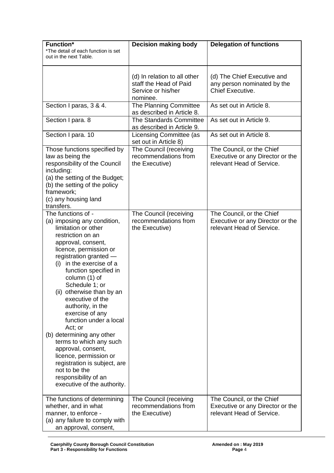| <b>Function*</b><br>*The detail of each function is set<br>out in the next Table.                                                                                                                                                                                                                                                                                                                                                                                                                                                                                                                             | <b>Decision making body</b>                                                              | <b>Delegation of functions</b>                                                             |
|---------------------------------------------------------------------------------------------------------------------------------------------------------------------------------------------------------------------------------------------------------------------------------------------------------------------------------------------------------------------------------------------------------------------------------------------------------------------------------------------------------------------------------------------------------------------------------------------------------------|------------------------------------------------------------------------------------------|--------------------------------------------------------------------------------------------|
|                                                                                                                                                                                                                                                                                                                                                                                                                                                                                                                                                                                                               | (d) In relation to all other<br>staff the Head of Paid<br>Service or his/her<br>nominee. | (d) The Chief Executive and<br>any person nominated by the<br>Chief Executive.             |
| Section I paras, 3 & 4.                                                                                                                                                                                                                                                                                                                                                                                                                                                                                                                                                                                       | The Planning Committee<br>as described in Article 8.                                     | As set out in Article 8.                                                                   |
| Section I para. 8                                                                                                                                                                                                                                                                                                                                                                                                                                                                                                                                                                                             | The Standards Committee<br>as described in Article 9.                                    | As set out in Article 9.                                                                   |
| Section I para. 10                                                                                                                                                                                                                                                                                                                                                                                                                                                                                                                                                                                            | Licensing Committee (as<br>set out in Article 8)                                         | As set out in Article 8.                                                                   |
| Those functions specified by<br>law as being the<br>responsibility of the Council<br>including:<br>(a) the setting of the Budget;<br>(b) the setting of the policy<br>framework;<br>(c) any housing land<br>transfers.                                                                                                                                                                                                                                                                                                                                                                                        | The Council (receiving<br>recommendations from<br>the Executive)                         | The Council, or the Chief<br>Executive or any Director or the<br>relevant Head of Service. |
| The functions of -<br>(a) imposing any condition,<br>limitation or other<br>restriction on an<br>approval, consent,<br>licence, permission or<br>registration granted -<br>(i) in the exercise of a<br>function specified in<br>column (1) of<br>Schedule 1; or<br>(ii) otherwise than by an<br>executive of the<br>authority, in the<br>exercise of any<br>function under a local<br>Act; or<br>(b) determining any other<br>terms to which any such<br>approval, consent,<br>licence, permission or<br>registration is subject, are<br>not to be the<br>responsibility of an<br>executive of the authority. | The Council (receiving<br>recommendations from<br>the Executive)                         | The Council, or the Chief<br>Executive or any Director or the<br>relevant Head of Service. |
| The functions of determining<br>whether, and in what<br>manner, to enforce -<br>(a) any failure to comply with<br>an approval, consent,                                                                                                                                                                                                                                                                                                                                                                                                                                                                       | The Council (receiving<br>recommendations from<br>the Executive)                         | The Council, or the Chief<br>Executive or any Director or the<br>relevant Head of Service. |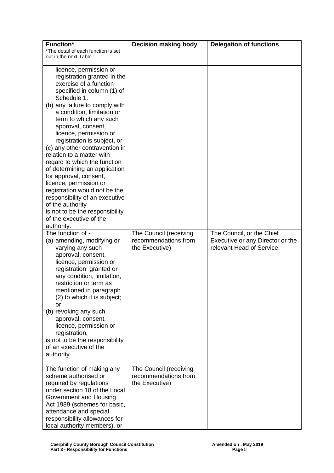| <b>Function*</b><br>*The detail of each function is set<br>out in the next Table.                                                                                                                                                                                                                                                                                                                                                                                                                                                                                                                                                                                                                                                                                                                                                                                                                                                                                                    | <b>Decision making body</b>                                      | <b>Delegation of functions</b>                                                             |
|--------------------------------------------------------------------------------------------------------------------------------------------------------------------------------------------------------------------------------------------------------------------------------------------------------------------------------------------------------------------------------------------------------------------------------------------------------------------------------------------------------------------------------------------------------------------------------------------------------------------------------------------------------------------------------------------------------------------------------------------------------------------------------------------------------------------------------------------------------------------------------------------------------------------------------------------------------------------------------------|------------------------------------------------------------------|--------------------------------------------------------------------------------------------|
| licence, permission or<br>registration granted in the<br>exercise of a function<br>specified in column (1) of<br>Schedule 1.<br>(b) any failure to comply with<br>a condition, limitation or<br>term to which any such<br>approval, consent,<br>licence, permission or<br>registration is subject, or<br>(c) any other contravention in<br>relation to a matter with<br>regard to which the function<br>of determining an application<br>for approval, consent,<br>licence, permission or<br>registration would not be the<br>responsibility of an executive<br>of the authority<br>is not to be the responsibility<br>of the executive of the<br>authority.<br>The function of -<br>(a) amending, modifying or<br>varying any such<br>approval, consent,<br>licence, permission or<br>registration granted or<br>any condition, limitation,<br>restriction or term as<br>mentioned in paragraph<br>(2) to which it is subject;<br>or<br>(b) revoking any such<br>approval, consent, | The Council (receiving<br>recommendations from<br>the Executive) | The Council, or the Chief<br>Executive or any Director or the<br>relevant Head of Service. |
| licence, permission or<br>registration,<br>is not to be the responsibility<br>of an executive of the<br>authority.                                                                                                                                                                                                                                                                                                                                                                                                                                                                                                                                                                                                                                                                                                                                                                                                                                                                   |                                                                  |                                                                                            |
| The function of making any<br>scheme authorised or<br>required by regulations<br>under section 18 of the Local<br>Government and Housing<br>Act 1989 (schemes for basic,<br>attendance and special<br>responsibility allowances for<br>local authority members), or                                                                                                                                                                                                                                                                                                                                                                                                                                                                                                                                                                                                                                                                                                                  | The Council (receiving<br>recommendations from<br>the Executive) |                                                                                            |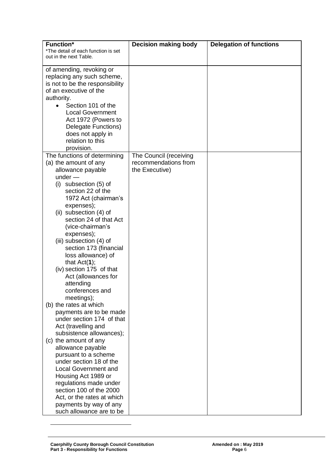| <b>Function*</b>                                              | <b>Decision making body</b> | <b>Delegation of functions</b> |
|---------------------------------------------------------------|-----------------------------|--------------------------------|
| *The detail of each function is set<br>out in the next Table. |                             |                                |
| of amending, revoking or                                      |                             |                                |
| replacing any such scheme,                                    |                             |                                |
| is not to be the responsibility                               |                             |                                |
| of an executive of the                                        |                             |                                |
| authority.                                                    |                             |                                |
| Section 101 of the<br>$\bullet$                               |                             |                                |
| <b>Local Government</b><br>Act 1972 (Powers to                |                             |                                |
| Delegate Functions)                                           |                             |                                |
| does not apply in                                             |                             |                                |
| relation to this                                              |                             |                                |
| provision.                                                    |                             |                                |
| The functions of determining                                  | The Council (receiving      |                                |
| (a) the amount of any                                         | recommendations from        |                                |
| allowance payable                                             | the Executive)              |                                |
| $under -$                                                     |                             |                                |
| $(i)$ subsection $(5)$ of<br>section 22 of the                |                             |                                |
| 1972 Act (chairman's                                          |                             |                                |
| expenses);                                                    |                             |                                |
| (ii) subsection (4) of                                        |                             |                                |
| section 24 of that Act                                        |                             |                                |
| (vice-chairman's                                              |                             |                                |
| expenses);                                                    |                             |                                |
| (iii) subsection (4) of                                       |                             |                                |
| section 173 (financial<br>loss allowance) of                  |                             |                                |
| that $Act(1);$                                                |                             |                                |
| (iv) section 175 of that                                      |                             |                                |
| Act (allowances for                                           |                             |                                |
| attending                                                     |                             |                                |
| conferences and                                               |                             |                                |
| meetings);                                                    |                             |                                |
| (b) the rates at which                                        |                             |                                |
| payments are to be made<br>under section 174 of that          |                             |                                |
| Act (travelling and                                           |                             |                                |
| subsistence allowances);                                      |                             |                                |
| (c) the amount of any                                         |                             |                                |
| allowance payable                                             |                             |                                |
| pursuant to a scheme                                          |                             |                                |
| under section 18 of the                                       |                             |                                |
| <b>Local Government and</b>                                   |                             |                                |
| Housing Act 1989 or<br>regulations made under                 |                             |                                |
| section 100 of the 2000                                       |                             |                                |
| Act, or the rates at which                                    |                             |                                |
| payments by way of any                                        |                             |                                |
| such allowance are to be                                      |                             |                                |

<u>.</u>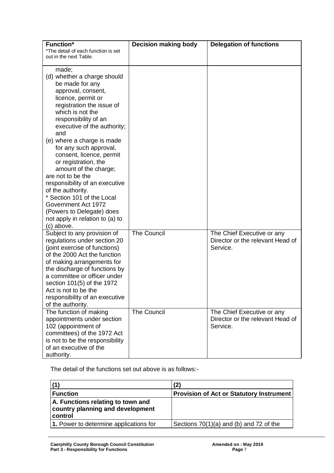| <b>Function*</b><br>*The detail of each function is set<br>out in the next Table.                                                                                                                                                                                                                                                                                                                                                                                                                                                                                      | <b>Decision making body</b> | <b>Delegation of functions</b>                                             |
|------------------------------------------------------------------------------------------------------------------------------------------------------------------------------------------------------------------------------------------------------------------------------------------------------------------------------------------------------------------------------------------------------------------------------------------------------------------------------------------------------------------------------------------------------------------------|-----------------------------|----------------------------------------------------------------------------|
| made;<br>(d) whether a charge should<br>be made for any<br>approval, consent,<br>licence, permit or<br>registration the issue of<br>which is not the<br>responsibility of an<br>executive of the authority;<br>and<br>(e) where a charge is made<br>for any such approval,<br>consent, licence, permit<br>or registration, the<br>amount of the charge;<br>are not to be the<br>responsibility of an executive<br>of the authority.<br>* Section 101 of the Local<br>Government Act 1972<br>(Powers to Delegate) does<br>not apply in relation to (a) to<br>(c) above. |                             |                                                                            |
| Subject to any provision of<br>regulations under section 20<br>(joint exercise of functions)<br>of the 2000 Act the function<br>of making arrangements for<br>the discharge of functions by<br>a committee or officer under<br>section 101(5) of the 1972<br>Act is not to be the<br>responsibility of an executive<br>of the authority.                                                                                                                                                                                                                               | <b>The Council</b>          | The Chief Executive or any<br>Director or the relevant Head of<br>Service. |
| The function of making<br>appointments under section<br>102 (appointment of<br>committees) of the 1972 Act<br>is not to be the responsibility<br>of an executive of the<br>authority.                                                                                                                                                                                                                                                                                                                                                                                  | <b>The Council</b>          | The Chief Executive or any<br>Director or the relevant Head of<br>Service. |

The detail of the functions set out above is as follows:-

|                                                                                  | (2)                                             |
|----------------------------------------------------------------------------------|-------------------------------------------------|
| <b>Function</b>                                                                  | <b>Provision of Act or Statutory Instrument</b> |
| A. Functions relating to town and<br>country planning and development<br>control |                                                 |
| 1. Power to determine applications for                                           | Sections $70(1)(a)$ and (b) and 72 of the       |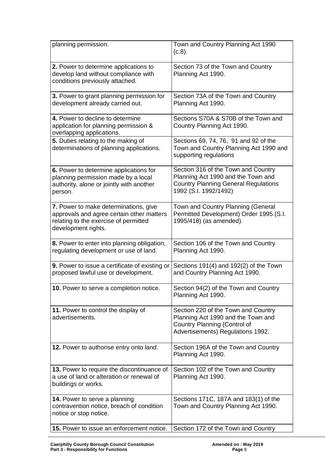| planning permission.                                                                                                                               | Town and Country Planning Act 1990<br>$(C.8)$ .                                                                                                   |
|----------------------------------------------------------------------------------------------------------------------------------------------------|---------------------------------------------------------------------------------------------------------------------------------------------------|
| 2. Power to determine applications to<br>develop land without compliance with<br>conditions previously attached.                                   | Section 73 of the Town and Country<br>Planning Act 1990.                                                                                          |
| 3. Power to grant planning permission for<br>development already carried out.                                                                      | Section 73A of the Town and Country<br>Planning Act 1990.                                                                                         |
| 4. Power to decline to determine<br>application for planning permission &<br>overlapping applications.                                             | Sections S70A & S70B of the Town and<br>Country Planning Act 1990.                                                                                |
| 5. Duties relating to the making of<br>determinations of planning applications.                                                                    | Sections 69, 74, 76, 91 and 92 of the<br>Town and Country Planning Act 1990 and<br>supporting regulations                                         |
| 6. Power to determine applications for<br>planning permission made by a local<br>authority, alone or jointly with another<br>person.               | Section 316 of the Town and Country<br>Planning Act 1990 and the Town and<br><b>Country Planning General Regulations</b><br>1992 (S.I. 1992/1492) |
| 7. Power to make determinations, give<br>approvals and agree certain other matters<br>relating to the exercise of permitted<br>development rights. | Town and Country Planning (General<br>Permitted Development) Order 1995 (S.I.<br>1995/418) (as amended).                                          |
| 8. Power to enter into planning obligation,<br>regulating development or use of land.                                                              | Section 106 of the Town and Country<br>Planning Act 1990.                                                                                         |
| 9. Power to issue a certificate of existing or<br>proposed lawful use or development.                                                              | Sections $191(4)$ and $192(2)$ of the Town<br>and Country Planning Act 1990.                                                                      |
| <b>10.</b> Power to serve a completion notice.                                                                                                     | Section 94(2) of the Town and Country<br>Planning Act 1990.                                                                                       |
| 11. Power to control the display of<br>advertisements.                                                                                             | Section 220 of the Town and Country<br>Planning Act 1990 and the Town and<br>Country Planning (Control of<br>Advertisements) Regulations 1992.    |
| 12. Power to authorise entry onto land.                                                                                                            | Section 196A of the Town and Country<br>Planning Act 1990.                                                                                        |
| 13. Power to require the discontinuance of<br>a use of land or alteration or renewal of<br>buildings or works.                                     | Section 102 of the Town and Country<br>Planning Act 1990.                                                                                         |
| 14. Power to serve a planning<br>contravention notice, breach of condition<br>notice or stop notice.                                               | Sections 171C, 187A and 183(1) of the<br>Town and Country Planning Act 1990.                                                                      |
| 15. Power to issue an enforcement notice.                                                                                                          | Section 172 of the Town and Country                                                                                                               |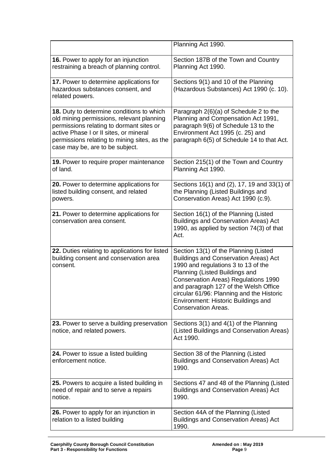|                                                                                                                                                                                                                                                                 | Planning Act 1990.                                                                                                                                                                                                                                                                                                                                                       |
|-----------------------------------------------------------------------------------------------------------------------------------------------------------------------------------------------------------------------------------------------------------------|--------------------------------------------------------------------------------------------------------------------------------------------------------------------------------------------------------------------------------------------------------------------------------------------------------------------------------------------------------------------------|
| 16. Power to apply for an injunction<br>restraining a breach of planning control.                                                                                                                                                                               | Section 187B of the Town and Country<br>Planning Act 1990.                                                                                                                                                                                                                                                                                                               |
| 17. Power to determine applications for<br>hazardous substances consent, and<br>related powers.                                                                                                                                                                 | Sections 9(1) and 10 of the Planning<br>(Hazardous Substances) Act 1990 (c. 10).                                                                                                                                                                                                                                                                                         |
| 18. Duty to determine conditions to which<br>old mining permissions, relevant planning<br>permissions relating to dormant sites or<br>active Phase I or II sites, or mineral<br>permissions relating to mining sites, as the<br>case may be, are to be subject. | Paragraph 2(6)(a) of Schedule 2 to the<br>Planning and Compensation Act 1991,<br>paragraph 9(6) of Schedule 13 to the<br>Environment Act 1995 (c. 25) and<br>paragraph 6(5) of Schedule 14 to that Act.                                                                                                                                                                  |
| 19. Power to require proper maintenance<br>of land.                                                                                                                                                                                                             | Section 215(1) of the Town and Country<br>Planning Act 1990.                                                                                                                                                                                                                                                                                                             |
| 20. Power to determine applications for<br>listed building consent, and related<br>powers.                                                                                                                                                                      | Sections 16(1) and (2), 17, 19 and 33(1) of<br>the Planning (Listed Buildings and<br>Conservation Areas) Act 1990 (c.9).                                                                                                                                                                                                                                                 |
| 21. Power to determine applications for<br>conservation area consent.                                                                                                                                                                                           | Section 16(1) of the Planning (Listed<br><b>Buildings and Conservation Areas) Act</b><br>1990, as applied by section 74(3) of that<br>Act.                                                                                                                                                                                                                               |
| 22. Duties relating to applications for listed<br>building consent and conservation area<br>consent.                                                                                                                                                            | Section 13(1) of the Planning (Listed<br><b>Buildings and Conservation Areas) Act</b><br>1990 and regulations 3 to 13 of the<br>Planning (Listed Buildings and<br><b>Conservation Areas) Regulations 1990</b><br>and paragraph 127 of the Welsh Office<br>circular 61/96: Planning and the Historic<br>Environment: Historic Buildings and<br><b>Conservation Areas.</b> |
| 23. Power to serve a building preservation<br>notice, and related powers.                                                                                                                                                                                       | Sections 3(1) and 4(1) of the Planning<br>(Listed Buildings and Conservation Areas)<br>Act 1990.                                                                                                                                                                                                                                                                         |
| 24. Power to issue a listed building<br>enforcement notice.                                                                                                                                                                                                     | Section 38 of the Planning (Listed<br><b>Buildings and Conservation Areas) Act</b><br>1990.                                                                                                                                                                                                                                                                              |
| 25. Powers to acquire a listed building in<br>need of repair and to serve a repairs<br>notice.                                                                                                                                                                  | Sections 47 and 48 of the Planning (Listed<br><b>Buildings and Conservation Areas) Act</b><br>1990.                                                                                                                                                                                                                                                                      |
| 26. Power to apply for an injunction in<br>relation to a listed building                                                                                                                                                                                        | Section 44A of the Planning (Listed<br><b>Buildings and Conservation Areas) Act</b><br>1990.                                                                                                                                                                                                                                                                             |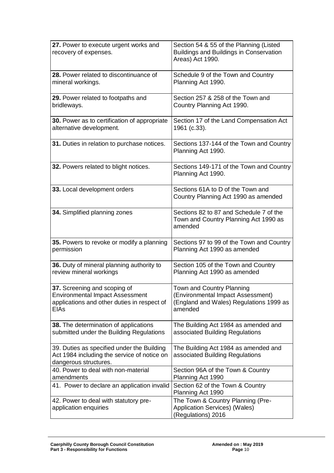| 27. Power to execute urgent works and<br>recovery of expenses.                                                                       | Section 54 & 55 of the Planning (Listed<br><b>Buildings and Buildings in Conservation</b><br>Areas) Act 1990.        |
|--------------------------------------------------------------------------------------------------------------------------------------|----------------------------------------------------------------------------------------------------------------------|
| 28. Power related to discontinuance of<br>mineral workings.                                                                          | Schedule 9 of the Town and Country<br>Planning Act 1990.                                                             |
| 29. Power related to footpaths and<br>bridleways.                                                                                    | Section 257 & 258 of the Town and<br>Country Planning Act 1990.                                                      |
| 30. Power as to certification of appropriate<br>alternative development.                                                             | Section 17 of the Land Compensation Act<br>1961 (c.33).                                                              |
| 31. Duties in relation to purchase notices.                                                                                          | Sections 137-144 of the Town and Country<br>Planning Act 1990.                                                       |
| 32. Powers related to blight notices.                                                                                                | Sections 149-171 of the Town and Country<br>Planning Act 1990.                                                       |
| 33. Local development orders                                                                                                         | Sections 61A to D of the Town and<br>Country Planning Act 1990 as amended                                            |
| 34. Simplified planning zones                                                                                                        | Sections 82 to 87 and Schedule 7 of the<br>Town and Country Planning Act 1990 as<br>amended                          |
| 35. Powers to revoke or modify a planning<br>permission                                                                              | Sections 97 to 99 of the Town and Country<br>Planning Act 1990 as amended                                            |
| 36. Duty of mineral planning authority to<br>review mineral workings                                                                 | Section 105 of the Town and Country<br>Planning Act 1990 as amended                                                  |
| 37. Screening and scoping of<br><b>Environmental Impact Assessment</b><br>applications and other duties in respect of<br><b>EIAs</b> | Town and Country Planning<br>(Environmental Impact Assessment)<br>(England and Wales) Regulations 1999 as<br>amended |
| 38. The determination of applications<br>submitted under the Building Regulations                                                    | The Building Act 1984 as amended and<br>associated Building Regulations                                              |
| 39. Duties as specified under the Building<br>Act 1984 including the service of notice on<br>dangerous structures.                   | The Building Act 1984 as amended and<br>associated Building Regulations                                              |
| 40. Power to deal with non-material<br>amendments                                                                                    | Section 96A of the Town & Country<br>Planning Act 1990                                                               |
| 41. Power to declare an application invalid                                                                                          | Section 62 of the Town & Country<br>Planning Act 1990                                                                |
| 42. Power to deal with statutory pre-<br>application enquiries                                                                       | The Town & Country Planning (Pre-<br><b>Application Services) (Wales)</b><br>(Regulations) 2016                      |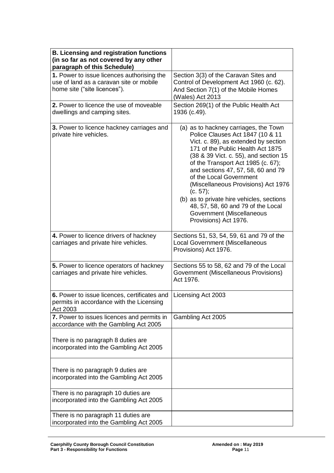| <b>B. Licensing and registration functions</b><br>(in so far as not covered by any other<br>paragraph of this Schedule) |                                                                                                                                                                                                                                                                                                                                                                                                                                                                                                    |
|-------------------------------------------------------------------------------------------------------------------------|----------------------------------------------------------------------------------------------------------------------------------------------------------------------------------------------------------------------------------------------------------------------------------------------------------------------------------------------------------------------------------------------------------------------------------------------------------------------------------------------------|
| 1. Power to issue licences authorising the<br>use of land as a caravan site or mobile<br>home site ("site licences").   | Section 3(3) of the Caravan Sites and<br>Control of Development Act 1960 (c. 62).<br>And Section 7(1) of the Mobile Homes<br>(Wales) Act 2013                                                                                                                                                                                                                                                                                                                                                      |
| 2. Power to licence the use of moveable<br>dwellings and camping sites.                                                 | Section 269(1) of the Public Health Act<br>1936 (c.49).                                                                                                                                                                                                                                                                                                                                                                                                                                            |
| 3. Power to licence hackney carriages and<br>private hire vehicles.                                                     | (a) as to hackney carriages, the Town<br>Police Clauses Act 1847 (10 & 11<br>Vict. c. 89), as extended by section<br>171 of the Public Health Act 1875<br>(38 & 39 Vict. c. 55), and section 15<br>of the Transport Act 1985 (c. 67);<br>and sections 47, 57, 58, 60 and 79<br>of the Local Government<br>(Miscellaneous Provisions) Act 1976<br>(c. 57);<br>(b) as to private hire vehicles, sections<br>48, 57, 58, 60 and 79 of the Local<br>Government (Miscellaneous<br>Provisions) Act 1976. |
| 4. Power to licence drivers of hackney<br>carriages and private hire vehicles.                                          | Sections 51, 53, 54, 59, 61 and 79 of the<br>Local Government (Miscellaneous<br>Provisions) Act 1976.                                                                                                                                                                                                                                                                                                                                                                                              |
| 5. Power to licence operators of hackney<br>carriages and private hire vehicles.                                        | Sections 55 to 58, 62 and 79 of the Local<br>Government (Miscellaneous Provisions)<br>Act 1976.                                                                                                                                                                                                                                                                                                                                                                                                    |
| 6. Power to issue licences, certificates and<br>permits in accordance with the Licensing<br>Act 2003                    | Licensing Act 2003                                                                                                                                                                                                                                                                                                                                                                                                                                                                                 |
| 7. Power to issues licences and permits in<br>accordance with the Gambling Act 2005                                     | Gambling Act 2005                                                                                                                                                                                                                                                                                                                                                                                                                                                                                  |
| There is no paragraph 8 duties are<br>incorporated into the Gambling Act 2005                                           |                                                                                                                                                                                                                                                                                                                                                                                                                                                                                                    |
| There is no paragraph 9 duties are<br>incorporated into the Gambling Act 2005                                           |                                                                                                                                                                                                                                                                                                                                                                                                                                                                                                    |
| There is no paragraph 10 duties are<br>incorporated into the Gambling Act 2005                                          |                                                                                                                                                                                                                                                                                                                                                                                                                                                                                                    |
| There is no paragraph 11 duties are<br>incorporated into the Gambling Act 2005                                          |                                                                                                                                                                                                                                                                                                                                                                                                                                                                                                    |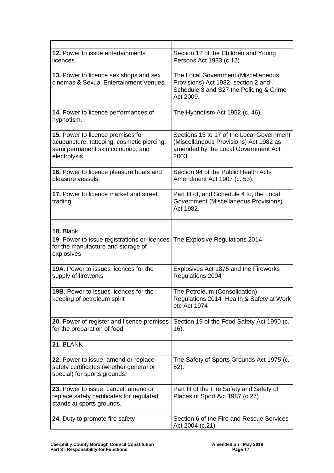| <b>12.</b> Power to issue entertainments<br>licences.                                                                                  | Section 12 of the Children and Young<br>Persons Act 1933 (c.12)                                                                     |
|----------------------------------------------------------------------------------------------------------------------------------------|-------------------------------------------------------------------------------------------------------------------------------------|
| 13. Power to licence sex shops and sex<br>cinemas & Sexual Entertainment Venues.                                                       | The Local Government (Miscellaneous<br>Provisions) Act 1982, section 2 and<br>Schedule 3 and S27 the Policing & Crime<br>Act 2009.  |
| 14. Power to licence performances of<br>hypnotism.                                                                                     | The Hypnotism Act 1952 (c. 46).                                                                                                     |
| 15. Power to licence premises for<br>acupuncture, tattooing, cosmetic piercing,<br>semi permanent skin colouring, and<br>electrolysis. | Sections 13 to 17 of the Local Government<br>(Miscellaneous Provisions) Act 1982 as<br>amended by the Local Government Act<br>2003. |
| 16. Power to licence pleasure boats and<br>pleasure vessels.                                                                           | Section 94 of the Public Health Acts<br>Amendment Act 1907 (c. 53).                                                                 |
| 17. Power to licence market and street<br>trading.                                                                                     | Part III of, and Schedule 4 to, the Local<br>Government (Miscellaneous Provisions)<br>Act 1982.                                     |
| 18. Blank                                                                                                                              |                                                                                                                                     |
| 19. Power to issue registrations or licences<br>for the manufacture and storage of<br>explosives                                       | The Explosive Regulations 2014                                                                                                      |
| <b>19A.</b> Power to issues licences for the<br>supply of fireworks                                                                    | Explosives Act 1875 and the Fireworks<br>Regulations 2004                                                                           |
| 19B. Power to issues licences for the<br>keeping of petroleum spirit                                                                   | The Petroleum (Consolidation)<br>Regulations 2014 Health & Safety at Work<br>etc Act 1974                                           |
| 20. Power of register and licence premises<br>for the preparation of food.                                                             | Section 19 of the Food Safety Act 1990 (c.<br>16).                                                                                  |
| 21. BLANK                                                                                                                              |                                                                                                                                     |
| 22. Power to issue, amend or replace<br>safety certificates (whether general or<br>special) for sports grounds.                        | The Safety of Sports Grounds Act 1975 (c.<br>52).                                                                                   |
| 23. Power to issue, cancel, amend or<br>replace safety certificates for regulated<br>stands at sports grounds.                         | Part III of the Fire Safety and Safety of<br>Places of Sport Act 1987 (c.27).                                                       |
| 24. Duty to promote fire safety                                                                                                        | Section 6 of the Fire and Rescue Services<br>Act 2004 (c.21)                                                                        |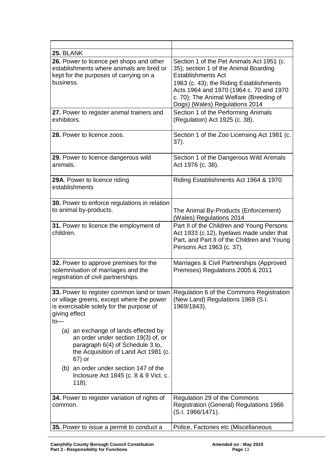| 25. BLANK                                                                                                                                                                                             |                                                                                                                                                                                                                                                                                    |  |
|-------------------------------------------------------------------------------------------------------------------------------------------------------------------------------------------------------|------------------------------------------------------------------------------------------------------------------------------------------------------------------------------------------------------------------------------------------------------------------------------------|--|
| 26. Power to licence pet shops and other<br>establishments where animals are bred or<br>kept for the purposes of carrying on a<br>business.                                                           | Section 1 of the Pet Animals Act 1951 (c.<br>35); section 1 of the Animal Boarding<br><b>Establishments Act</b><br>1963 (c. 43); the Riding Establishments<br>Acts 1964 and 1970 (1964 c. 70 and 1970<br>c. 70); The Animal Welfare (Breeding of<br>Dogs) (Wales) Regulations 2014 |  |
| 27. Power to register animal trainers and<br>exhibitors.                                                                                                                                              | Section 1 of the Performing Animals<br>(Regulation) Act 1925 (c. 38).                                                                                                                                                                                                              |  |
| 28. Power to licence zoos.                                                                                                                                                                            | Section 1 of the Zoo Licensing Act 1981 (c.<br>37).                                                                                                                                                                                                                                |  |
| 29. Power to licence dangerous wild<br>animals.                                                                                                                                                       | Section 1 of the Dangerous Wild Animals<br>Act 1976 (c. 38).                                                                                                                                                                                                                       |  |
| 29A. Power to licence riding<br>establishments                                                                                                                                                        | Riding Establishments Act 1964 & 1970                                                                                                                                                                                                                                              |  |
| 30. Power to enforce regulations in relation<br>to animal by-products.                                                                                                                                | The Animal By-Products (Enforcement)<br>(Wales) Regulations 2014                                                                                                                                                                                                                   |  |
| 31. Power to licence the employment of<br>children.                                                                                                                                                   | Part II of the Children and Young Persons<br>Act 1933 (c.12), byelaws made under that<br>Part, and Part II of the Children and Young<br>Persons Act 1963 (c. 37).                                                                                                                  |  |
| 32. Power to approve premises for the<br>solemnisation of marriages and the<br>registration of civil partnerships.                                                                                    | Marriages & Civil Partnerships (Approved<br>Premises) Regulations 2005 & 2011                                                                                                                                                                                                      |  |
| 33. Power to register common land or town Regulation 6 of the Commons Registration<br>or village greens, except where the power<br>is exercisable solely for the purpose of<br>giving effect<br>$to-$ | (New Land) Regulations 1969 (S.I.<br>1969/1843).                                                                                                                                                                                                                                   |  |
| (a) an exchange of lands effected by<br>an order under section 19(3) of, or<br>paragraph 6(4) of Schedule 3 to,<br>the Acquisition of Land Act 1981 (c.<br>67) or                                     |                                                                                                                                                                                                                                                                                    |  |
| (b) an order under section 147 of the<br>Inclosure Act 1845 (c. 8 & 9 Vict. c.<br>118).                                                                                                               |                                                                                                                                                                                                                                                                                    |  |
| 34. Power to register variation of rights of<br>common.                                                                                                                                               | Regulation 29 of the Commons<br><b>Registration (General) Regulations 1966</b><br>(S.I. 1966/1471).                                                                                                                                                                                |  |
| 35. Power to issue a permit to conduct a                                                                                                                                                              | Police, Factories etc (Miscellaneous                                                                                                                                                                                                                                               |  |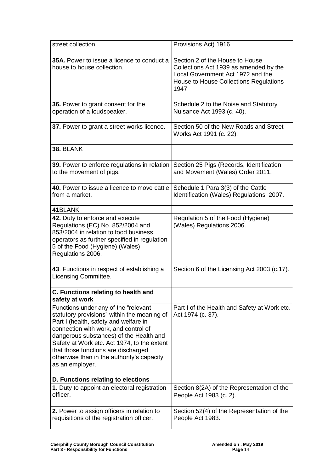| street collection.                                                                                                                                                                                                                                                                                                                                                     | Provisions Act) 1916                                                                                                                                             |  |
|------------------------------------------------------------------------------------------------------------------------------------------------------------------------------------------------------------------------------------------------------------------------------------------------------------------------------------------------------------------------|------------------------------------------------------------------------------------------------------------------------------------------------------------------|--|
| <b>35A.</b> Power to issue a licence to conduct a<br>house to house collection.                                                                                                                                                                                                                                                                                        | Section 2 of the House to House<br>Collections Act 1939 as amended by the<br>Local Government Act 1972 and the<br>House to House Collections Regulations<br>1947 |  |
| 36. Power to grant consent for the<br>operation of a loudspeaker.                                                                                                                                                                                                                                                                                                      | Schedule 2 to the Noise and Statutory<br>Nuisance Act 1993 (c. 40).                                                                                              |  |
| 37. Power to grant a street works licence.                                                                                                                                                                                                                                                                                                                             | Section 50 of the New Roads and Street<br>Works Act 1991 (c. 22).                                                                                                |  |
| 38. BLANK                                                                                                                                                                                                                                                                                                                                                              |                                                                                                                                                                  |  |
| 39. Power to enforce regulations in relation<br>to the movement of pigs.                                                                                                                                                                                                                                                                                               | Section 25 Pigs (Records, Identification<br>and Movement (Wales) Order 2011.                                                                                     |  |
| 40. Power to issue a licence to move cattle<br>from a market.                                                                                                                                                                                                                                                                                                          | Schedule 1 Para 3(3) of the Cattle<br>Identification (Wales) Regulations 2007.                                                                                   |  |
| 41BLANK                                                                                                                                                                                                                                                                                                                                                                |                                                                                                                                                                  |  |
| 42. Duty to enforce and execute<br>Regulations (EC) No. 852/2004 and<br>853/2004 in relation to food business<br>operators as further specified in regulation<br>5 of the Food (Hygiene) (Wales)<br>Regulations 2006.                                                                                                                                                  | Regulation 5 of the Food (Hygiene)<br>(Wales) Regulations 2006.                                                                                                  |  |
| 43. Functions in respect of establishing a<br>Licensing Committee.                                                                                                                                                                                                                                                                                                     | Section 6 of the Licensing Act 2003 (c.17).                                                                                                                      |  |
| C. Functions relating to health and<br>safety at work                                                                                                                                                                                                                                                                                                                  |                                                                                                                                                                  |  |
| Functions under any of the "relevant<br>statutory provisions" within the meaning of<br>Part I (health, safety and welfare in<br>connection with work, and control of<br>dangerous substances) of the Health and<br>Safety at Work etc. Act 1974, to the extent<br>that those functions are discharged<br>otherwise than in the authority's capacity<br>as an employer. | Part I of the Health and Safety at Work etc.<br>Act 1974 (c. 37).                                                                                                |  |
| D. Functions relating to elections                                                                                                                                                                                                                                                                                                                                     |                                                                                                                                                                  |  |
| 1. Duty to appoint an electoral registration<br>officer.                                                                                                                                                                                                                                                                                                               | Section 8(2A) of the Representation of the<br>People Act 1983 (c. 2).                                                                                            |  |
| 2. Power to assign officers in relation to<br>requisitions of the registration officer.                                                                                                                                                                                                                                                                                | Section 52(4) of the Representation of the<br>People Act 1983.                                                                                                   |  |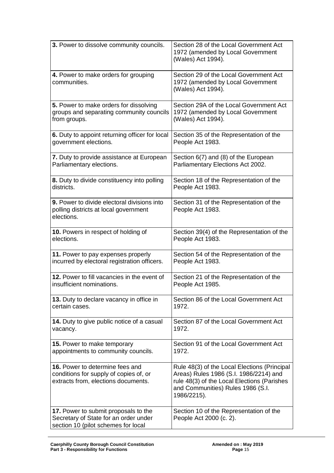| 3. Power to dissolve community councils.                                                                             | Section 28 of the Local Government Act<br>1972 (amended by Local Government<br>(Wales) Act 1994).                                                                                         |  |
|----------------------------------------------------------------------------------------------------------------------|-------------------------------------------------------------------------------------------------------------------------------------------------------------------------------------------|--|
| 4. Power to make orders for grouping<br>communities.                                                                 | Section 29 of the Local Government Act<br>1972 (amended by Local Government<br>(Wales) Act 1994).                                                                                         |  |
| 5. Power to make orders for dissolving                                                                               | Section 29A of the Local Government Act                                                                                                                                                   |  |
| groups and separating community councils                                                                             | 1972 (amended by Local Government                                                                                                                                                         |  |
| from groups.                                                                                                         | (Wales) Act 1994).                                                                                                                                                                        |  |
| 6. Duty to appoint returning officer for local                                                                       | Section 35 of the Representation of the                                                                                                                                                   |  |
| government elections.                                                                                                | People Act 1983.                                                                                                                                                                          |  |
| 7. Duty to provide assistance at European                                                                            | Section 6(7) and (8) of the European                                                                                                                                                      |  |
| Parliamentary elections.                                                                                             | Parliamentary Elections Act 2002.                                                                                                                                                         |  |
| 8. Duty to divide constituency into polling                                                                          | Section 18 of the Representation of the                                                                                                                                                   |  |
| districts.                                                                                                           | People Act 1983.                                                                                                                                                                          |  |
| 9. Power to divide electoral divisions into<br>polling districts at local government<br>elections.                   | Section 31 of the Representation of the<br>People Act 1983.                                                                                                                               |  |
| 10. Powers in respect of holding of                                                                                  | Section 39(4) of the Representation of the                                                                                                                                                |  |
| elections.                                                                                                           | People Act 1983.                                                                                                                                                                          |  |
| 11. Power to pay expenses properly                                                                                   | Section 54 of the Representation of the                                                                                                                                                   |  |
| incurred by electoral registration officers.                                                                         | People Act 1983.                                                                                                                                                                          |  |
| 12. Power to fill vacancies in the event of                                                                          | Section 21 of the Representation of the                                                                                                                                                   |  |
| insufficient nominations.                                                                                            | People Act 1985.                                                                                                                                                                          |  |
| 13. Duty to declare vacancy in office in                                                                             | Section 86 of the Local Government Act                                                                                                                                                    |  |
| certain cases.                                                                                                       | 1972.                                                                                                                                                                                     |  |
| 14. Duty to give public notice of a casual                                                                           | Section 87 of the Local Government Act                                                                                                                                                    |  |
| vacancy.                                                                                                             | 1972.                                                                                                                                                                                     |  |
| <b>15.</b> Power to make temporary                                                                                   | Section 91 of the Local Government Act                                                                                                                                                    |  |
| appointments to community councils.                                                                                  | 1972.                                                                                                                                                                                     |  |
| 16. Power to determine fees and<br>conditions for supply of copies of, or<br>extracts from, elections documents.     | Rule 48(3) of the Local Elections (Principal<br>Areas) Rules 1986 (S.I. 1986/2214) and<br>rule 48(3) of the Local Elections (Parishes<br>and Communities) Rules 1986 (S.I.<br>1986/2215). |  |
| 17. Power to submit proposals to the<br>Secretary of State for an order under<br>section 10 (pilot schemes for local | Section 10 of the Representation of the<br>People Act 2000 (c. 2).                                                                                                                        |  |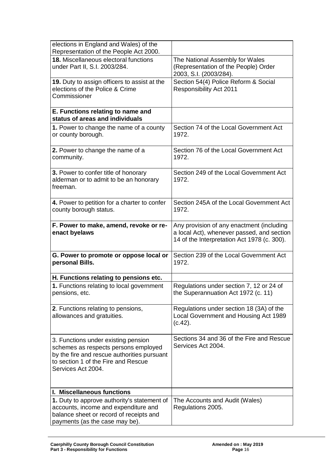| elections in England and Wales) of the<br>Representation of the People Act 2000.                                                                                                        |                                                                                                                                        |
|-----------------------------------------------------------------------------------------------------------------------------------------------------------------------------------------|----------------------------------------------------------------------------------------------------------------------------------------|
| 18. Miscellaneous electoral functions<br>under Part II, S.I. 2003/284.                                                                                                                  | The National Assembly for Wales<br>(Representation of the People) Order<br>2003, S.I. (2003/284).                                      |
| 19. Duty to assign officers to assist at the<br>elections of the Police & Crime<br>Commissioner                                                                                         | Section 54(4) Police Reform & Social<br><b>Responsibility Act 2011</b>                                                                 |
| E. Functions relating to name and<br>status of areas and individuals                                                                                                                    |                                                                                                                                        |
| 1. Power to change the name of a county<br>or county borough.                                                                                                                           | Section 74 of the Local Government Act<br>1972.                                                                                        |
| 2. Power to change the name of a<br>community.                                                                                                                                          | Section 76 of the Local Government Act<br>1972.                                                                                        |
| 3. Power to confer title of honorary<br>alderman or to admit to be an honorary<br>freeman.                                                                                              | Section 249 of the Local Government Act<br>1972.                                                                                       |
| 4. Power to petition for a charter to confer<br>county borough status.                                                                                                                  | Section 245A of the Local Government Act<br>1972.                                                                                      |
| F. Power to make, amend, revoke or re-<br>enact byelaws                                                                                                                                 | Any provision of any enactment (including<br>a local Act), whenever passed, and section<br>14 of the Interpretation Act 1978 (c. 300). |
| G. Power to promote or oppose local or<br>personal Bills.                                                                                                                               | Section 239 of the Local Government Act<br>1972.                                                                                       |
| H. Functions relating to pensions etc.                                                                                                                                                  |                                                                                                                                        |
| 1. Functions relating to local government<br>pensions, etc.                                                                                                                             | Regulations under section 7, 12 or 24 of<br>the Superannuation Act 1972 (c. 11)                                                        |
| 2. Functions relating to pensions,<br>allowances and gratuities.                                                                                                                        | Regulations under section 18 (3A) of the<br>Local Government and Housing Act 1989<br>(c.42).                                           |
| 3. Functions under existing pension<br>schemes as respects persons employed<br>by the fire and rescue authorities pursuant<br>to section 1 of the Fire and Rescue<br>Services Act 2004. | Sections 34 and 36 of the Fire and Rescue<br>Services Act 2004.                                                                        |
| I. Miscellaneous functions                                                                                                                                                              |                                                                                                                                        |
| 1. Duty to approve authority's statement of<br>accounts, income and expenditure and<br>balance sheet or record of receipts and<br>payments (as the case may be).                        | The Accounts and Audit (Wales)<br>Regulations 2005.                                                                                    |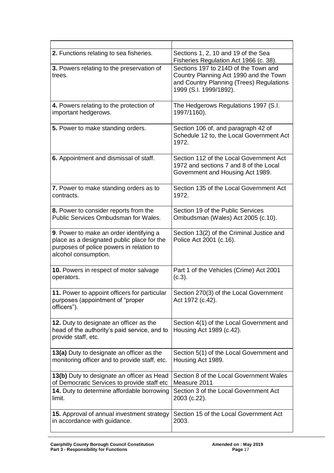| 2. Functions relating to sea fisheries.                                                                                                                   | Sections 1, 2, 10 and 19 of the Sea<br>Fisheries Regulation Act 1966 (c. 38).                                                                        |  |
|-----------------------------------------------------------------------------------------------------------------------------------------------------------|------------------------------------------------------------------------------------------------------------------------------------------------------|--|
| 3. Powers relating to the preservation of<br>trees.                                                                                                       | Sections 197 to 214D of the Town and<br>Country Planning Act 1990 and the Town<br>and Country Planning (Trees) Regulations<br>1999 (S.I. 1999/1892). |  |
| 4. Powers relating to the protection of                                                                                                                   | The Hedgerows Regulations 1997 (S.I.                                                                                                                 |  |
| important hedgerows.                                                                                                                                      | 1997/1160).                                                                                                                                          |  |
| 5. Power to make standing orders.                                                                                                                         | Section 106 of, and paragraph 42 of<br>Schedule 12 to, the Local Government Act<br>1972.                                                             |  |
| 6. Appointment and dismissal of staff.                                                                                                                    | Section 112 of the Local Government Act<br>1972 and sections 7 and 8 of the Local<br>Government and Housing Act 1989.                                |  |
| 7. Power to make standing orders as to                                                                                                                    | Section 135 of the Local Government Act                                                                                                              |  |
| contracts.                                                                                                                                                | 1972.                                                                                                                                                |  |
| 8. Power to consider reports from the                                                                                                                     | Section 19 of the Public Services                                                                                                                    |  |
| Public Services Ombudsman for Wales.                                                                                                                      | Ombudsman (Wales) Act 2005 (c.10).                                                                                                                   |  |
| 9. Power to make an order identifying a<br>place as a designated public place for the<br>purposes of police powers in relation to<br>alcohol consumption. | Section 13(2) of the Criminal Justice and<br>Police Act 2001 (c.16).                                                                                 |  |
| 10. Powers in respect of motor salvage                                                                                                                    | Part 1 of the Vehicles (Crime) Act 2001                                                                                                              |  |
| operators.                                                                                                                                                | (c.3).                                                                                                                                               |  |
| 11. Power to appoint officers for particular<br>purposes (appointment of "proper<br>officers").                                                           | Section 270(3) of the Local Government<br>Act 1972 (c.42).                                                                                           |  |
| 12. Duty to designate an officer as the<br>head of the authority's paid service, and to<br>provide staff, etc.                                            | Section 4(1) of the Local Government and<br>Housing Act 1989 (c.42).                                                                                 |  |
| 13(a) Duty to designate an officer as the                                                                                                                 | Section 5(1) of the Local Government and                                                                                                             |  |
| monitoring officer and to provide staff, etc.                                                                                                             | Housing Act 1989.                                                                                                                                    |  |
| 13(b) Duty to designate an officer as Head                                                                                                                | Section 8 of the Local Government Wales                                                                                                              |  |
| of Democratic Services to provide staff etc                                                                                                               | Measure 2011                                                                                                                                         |  |
| 14. Duty to determine affordable borrowing                                                                                                                | Section 3 of the Local Government Act                                                                                                                |  |
| limit.                                                                                                                                                    | 2003 (c.22).                                                                                                                                         |  |
| 15. Approval of annual investment strategy                                                                                                                | Section 15 of the Local Government Act                                                                                                               |  |
| in accordance with guidance.                                                                                                                              | 2003.                                                                                                                                                |  |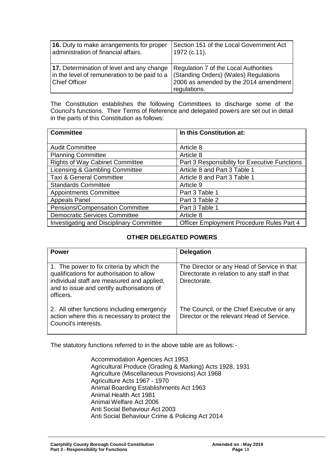| 16. Duty to make arrangements for proper                                                                          | Section 151 of the Local Government Act                                                                                                 |
|-------------------------------------------------------------------------------------------------------------------|-----------------------------------------------------------------------------------------------------------------------------------------|
| administration of financial affairs.                                                                              | 1972 (c.11).                                                                                                                            |
| 17. Determination of level and any change<br>in the level of remuneration to be paid to a<br><b>Chief Officer</b> | Regulation 7 of the Local Authorities<br>(Standing Orders) (Wales) Regulations<br>2006 as amended by the 2014 amendment<br>regulations. |

The Constitution establishes the following Committees to discharge some of the Council's functions. Their Terms of Reference and delegated powers are set out in detail in the parts of this Constitution as follows:

| <b>Committee</b>                                | In this Constitution at:                      |  |
|-------------------------------------------------|-----------------------------------------------|--|
|                                                 |                                               |  |
| <b>Audit Committee</b>                          | Article 8                                     |  |
| <b>Planning Committee</b>                       | Article 8                                     |  |
| <b>Rights of Way Cabinet Committee</b>          | Part 3 Responsibility for Executive Functions |  |
| Licensing & Gambling Committee                  | Article 8 and Part 3 Table 1                  |  |
| <b>Taxi &amp; General Committee</b>             | Article 8 and Part 3 Table 1                  |  |
| <b>Standards Committee</b>                      | Article 9                                     |  |
| <b>Appointments Committee</b>                   | Part 3 Table 1                                |  |
| <b>Appeals Panel</b>                            | Part 3 Table 2                                |  |
| Pensions/Compensation Committee                 | Part 3 Table 1                                |  |
| <b>Democratic Services Committee</b>            | Article 8                                     |  |
| <b>Investigating and Disciplinary Committee</b> | Officer Employment Procedure Rules Part 4     |  |

# **OTHER DELEGATED POWERS**

| <b>Power</b>                                                                                                                                                                                    | <b>Delegation</b>                                                                                           |
|-------------------------------------------------------------------------------------------------------------------------------------------------------------------------------------------------|-------------------------------------------------------------------------------------------------------------|
| 1. The power to fix criteria by which the<br>qualifications for authorisation to allow<br>individual staff are measured and applied,<br>and to issue and certify authorisations of<br>officers. | The Director or any Head of Service in that<br>Directorate in relation to any staff in that<br>Directorate. |
| 2. All other functions including emergency<br>action where this is necessary to protect the<br>Council's interests.                                                                             | The Council, or the Chief Executive or any<br>Director or the relevant Head of Service.                     |

The statutory functions referred to in the above table are as follows:-

Accommodation Agencies Act 1953 Agricultural Produce (Grading & Marking) Acts 1928, 1931 Agriculture (Miscellaneous Provisions) Act 1968 Agriculture Acts 1967 - 1970 Animal Boarding Establishments Act 1963 Animal Health Act 1981 Animal Welfare Act 2006 Anti Social Behaviour Act 2003 Anti Social Behaviour Crime & Policing Act 2014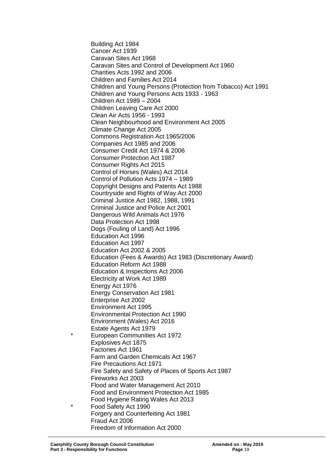Building Act 1984 Cancer Act 1939 Caravan Sites Act 1968 Caravan Sites and Control of Development Act 1960 Charities Acts 1992 and 2006 Children and Families Act 2014 Children and Young Persons (Protection from Tobacco) Act 1991 Children and Young Persons Acts 1933 - 1963 Children Act 1989 – 2004 Children Leaving Care Act 2000 Clean Air Acts 1956 - 1993 Clean Neighbourhood and Environment Act 2005 Climate Change Act 2005 Commons Registration Act 1965/2006 Companies Act 1985 and 2006 Consumer Credit Act 1974 & 2006 Consumer Protection Act 1987 Consumer Rights Act 2015 Control of Horses (Wales) Act 2014 Control of Pollution Acts 1974 – 1989 Copyright Designs and Patents Act 1988 Countryside and Rights of Way Act 2000 Criminal Justice Act 1982, 1988, 1991 Criminal Justice and Police Act 2001 Dangerous Wild Animals Act 1976 Data Protection Act 1998 Dogs (Fouling of Land) Act 1996 Education Act 1996 Education Act 1997 Education Act 2002 & 2005 Education (Fees & Awards) Act 1983 (Discretionary Award) Education Reform Act 1988 Education & Inspections Act 2006 Electricity at Work Act 1989 Energy Act 1976 Energy Conservation Act 1981 Enterprise Act 2002 Environment Act 1995 Environmental Protection Act 1990 Environment (Wales) Act 2016 Estate Agents Act 1979 European Communities Act 1972 Explosives Act 1875 Factories Act 1961 Farm and Garden Chemicals Act 1967 Fire Precautions Act 1971 Fire Safety and Safety of Places of Sports Act 1987 Fireworks Act 2003 Flood and Water Management Act 2010 Food and Environment Protection Act 1985 Food Hygiene Rating Wales Act 2013 Food Safety Act 1990 Forgery and Counterfeiting Act 1981 Fraud Act 2006 Freedom of Information Act 2000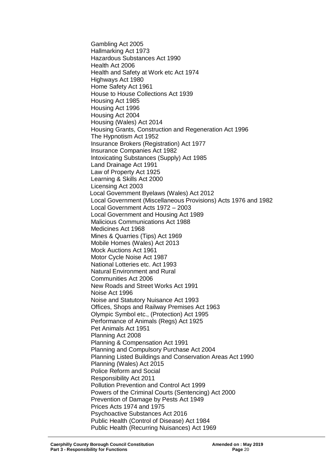Gambling Act 2005 Hallmarking Act 1973 Hazardous Substances Act 1990 Health Act 2006 Health and Safety at Work etc Act 1974 Highways Act 1980 Home Safety Act 1961 House to House Collections Act 1939 Housing Act 1985 Housing Act 1996 Housing Act 2004 Housing (Wales) Act 2014 Housing Grants, Construction and Regeneration Act 1996 The Hypnotism Act 1952 Insurance Brokers (Registration) Act 1977 Insurance Companies Act 1982 Intoxicating Substances (Supply) Act 1985 Land Drainage Act 1991 Law of Property Act 1925 Learning & Skills Act 2000 Licensing Act 2003 Local Government Byelaws (Wales) Act 2012 Local Government (Miscellaneous Provisions) Acts 1976 and 1982 Local Government Acts 1972 – 2003 Local Government and Housing Act 1989 Malicious Communications Act 1988 Medicines Act 1968 Mines & Quarries (Tips) Act 1969 Mobile Homes (Wales) Act 2013 Mock Auctions Act 1961 Motor Cycle Noise Act 1987 National Lotteries etc. Act 1993 Natural Environment and Rural Communities Act 2006 New Roads and Street Works Act 1991 Noise Act 1996 Noise and Statutory Nuisance Act 1993 Offices, Shops and Railway Premises Act 1963 Olympic Symbol etc., (Protection) Act 1995 Performance of Animals (Regs) Act 1925 Pet Animals Act 1951 Planning Act 2008 Planning & Compensation Act 1991 Planning and Compulsory Purchase Act 2004 Planning Listed Buildings and Conservation Areas Act 1990 Planning (Wales) Act 2015 Police Reform and Social Responsibility Act 2011 Pollution Prevention and Control Act 1999 Powers of the Criminal Courts (Sentencing) Act 2000 Prevention of Damage by Pests Act 1949 Prices Acts 1974 and 1975 Psychoactive Substances Act 2016 Public Health (Control of Disease) Act 1984 Public Health (Recurring Nuisances) Act 1969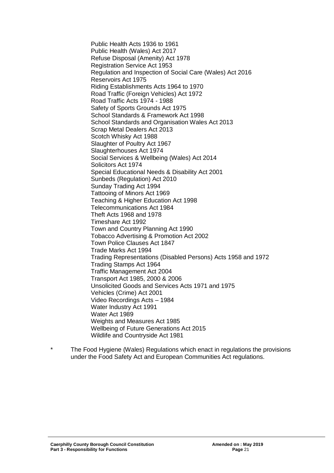Public Health Acts 1936 to 1961 Public Health (Wales) Act 2017 Refuse Disposal (Amenity) Act 1978 Registration Service Act 1953 Regulation and Inspection of Social Care (Wales) Act 2016 Reservoirs Act 1975 Riding Establishments Acts 1964 to 1970 Road Traffic (Foreign Vehicles) Act 1972 Road Traffic Acts 1974 - 1988 Safety of Sports Grounds Act 1975 School Standards & Framework Act 1998 School Standards and Organisation Wales Act 2013 Scrap Metal Dealers Act 2013 Scotch Whisky Act 1988 Slaughter of Poultry Act 1967 Slaughterhouses Act 1974 Social Services & Wellbeing (Wales) Act 2014 Solicitors Act 1974 Special Educational Needs & Disability Act 2001 Sunbeds (Regulation) Act 2010 Sunday Trading Act 1994 Tattooing of Minors Act 1969 Teaching & Higher Education Act 1998 Telecommunications Act 1984 Theft Acts 1968 and 1978 Timeshare Act 1992 Town and Country Planning Act 1990 Tobacco Advertising & Promotion Act 2002 Town Police Clauses Act 1847 Trade Marks Act 1994 Trading Representations (Disabled Persons) Acts 1958 and 1972 Trading Stamps Act 1964 Traffic Management Act 2004 Transport Act 1985, 2000 & 2006 Unsolicited Goods and Services Acts 1971 and 1975 Vehicles (Crime) Act 2001 Video Recordings Acts – 1984 Water Industry Act 1991 Water Act 1989 Weights and Measures Act 1985 Wellbeing of Future Generations Act 2015 Wildlife and Countryside Act 1981

The Food Hygiene (Wales) Regulations which enact in regulations the provisions under the Food Safety Act and European Communities Act regulations.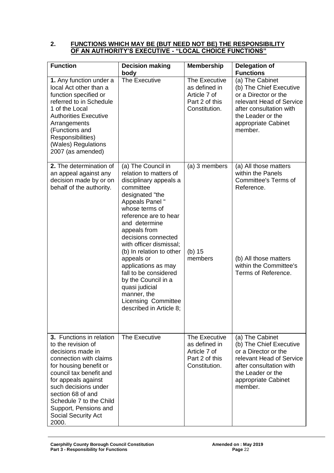#### **2. FUNCTIONS WHICH MAY BE (BUT NEED NOT BE) THE RESPONSIBILITY OF AN AUTHORITY'S EXECUTIVE - "LOCAL CHOICE FUNCTIONS"**

| <b>Function</b>                                                                                                                                                                                                                                                                                            | <b>Decision making</b><br>body                                                                                                                                                                                                                                                                                                                                                                                                                                    | <b>Membership</b>                                                                 | <b>Delegation of</b><br><b>Functions</b>                                                                                                                                         |
|------------------------------------------------------------------------------------------------------------------------------------------------------------------------------------------------------------------------------------------------------------------------------------------------------------|-------------------------------------------------------------------------------------------------------------------------------------------------------------------------------------------------------------------------------------------------------------------------------------------------------------------------------------------------------------------------------------------------------------------------------------------------------------------|-----------------------------------------------------------------------------------|----------------------------------------------------------------------------------------------------------------------------------------------------------------------------------|
| 1. Any function under a<br>local Act other than a<br>function specified or<br>referred to in Schedule<br>1 of the Local<br><b>Authorities Executive</b><br>Arrangements<br>(Functions and<br>Responsibilities)<br>(Wales) Regulations<br>2007 (as amended)                                                 | The Executive                                                                                                                                                                                                                                                                                                                                                                                                                                                     | The Executive<br>as defined in<br>Article 7 of<br>Part 2 of this<br>Constitution. | (a) The Cabinet<br>(b) The Chief Executive<br>or a Director or the<br>relevant Head of Service<br>after consultation with<br>the Leader or the<br>appropriate Cabinet<br>member. |
| 2. The determination of<br>an appeal against any<br>decision made by or on<br>behalf of the authority.                                                                                                                                                                                                     | (a) The Council in<br>relation to matters of<br>disciplinary appeals a<br>committee<br>designated "the<br>Appeals Panel"<br>whose terms of<br>reference are to hear<br>and determine<br>appeals from<br>decisions connected<br>with officer dismissal;<br>(b) In relation to other<br>appeals or<br>applications as may<br>fall to be considered<br>by the Council in a<br>quasi judicial<br>manner, the<br><b>Licensing Committee</b><br>described in Article 8; | (a) 3 members<br>$(b)$ 15<br>members                                              | (a) All those matters<br>within the Panels<br><b>Committee's Terms of</b><br>Reference.<br>(b) All those matters<br>within the Committee's<br>Terms of Reference.                |
| 3. Functions in relation<br>to the revision of<br>decisions made in<br>connection with claims<br>for housing benefit or<br>council tax benefit and<br>for appeals against<br>such decisions under<br>section 68 of and<br>Schedule 7 to the Child<br>Support, Pensions and<br>Social Security Act<br>2000. | The Executive                                                                                                                                                                                                                                                                                                                                                                                                                                                     | The Executive<br>as defined in<br>Article 7 of<br>Part 2 of this<br>Constitution. | (a) The Cabinet<br>(b) The Chief Executive<br>or a Director or the<br>relevant Head of Service<br>after consultation with<br>the Leader or the<br>appropriate Cabinet<br>member. |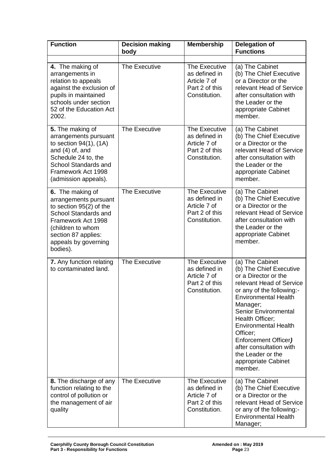| <b>Function</b>                                                                                                                                                                                    | <b>Decision making</b><br>body | <b>Membership</b>                                                                 | <b>Delegation of</b><br><b>Functions</b>                                                                                                                                                                                                                                                                                                                                      |
|----------------------------------------------------------------------------------------------------------------------------------------------------------------------------------------------------|--------------------------------|-----------------------------------------------------------------------------------|-------------------------------------------------------------------------------------------------------------------------------------------------------------------------------------------------------------------------------------------------------------------------------------------------------------------------------------------------------------------------------|
| 4. The making of<br>arrangements in<br>relation to appeals<br>against the exclusion of<br>pupils in maintained<br>schools under section<br>52 of the Education Act<br>2002.                        | <b>The Executive</b>           | The Executive<br>as defined in<br>Article 7 of<br>Part 2 of this<br>Constitution. | (a) The Cabinet<br>(b) The Chief Executive<br>or a Director or the<br>relevant Head of Service<br>after consultation with<br>the Leader or the<br>appropriate Cabinet<br>member.                                                                                                                                                                                              |
| 5. The making of<br>arrangements pursuant<br>to section $94(1)$ , $(1A)$<br>and (4) of, and<br>Schedule 24 to, the<br><b>School Standards and</b><br>Framework Act 1998<br>(admission appeals).    | The Executive                  | The Executive<br>as defined in<br>Article 7 of<br>Part 2 of this<br>Constitution. | (a) The Cabinet<br>(b) The Chief Executive<br>or a Director or the<br>relevant Head of Service<br>after consultation with<br>the Leader or the<br>appropriate Cabinet<br>member.                                                                                                                                                                                              |
| 6. The making of<br>arrangements pursuant<br>to section 95(2) of the<br>School Standards and<br>Framework Act 1998<br>(children to whom<br>section 87 applies:<br>appeals by governing<br>bodies). | <b>The Executive</b>           | The Executive<br>as defined in<br>Article 7 of<br>Part 2 of this<br>Constitution. | (a) The Cabinet<br>(b) The Chief Executive<br>or a Director or the<br>relevant Head of Service<br>after consultation with<br>the Leader or the<br>appropriate Cabinet<br>member.                                                                                                                                                                                              |
| 7. Any function relating<br>to contaminated land.                                                                                                                                                  | The Executive                  | The Executive<br>as defined in<br>Article 7 of<br>Part 2 of this<br>Constitution  | (a) The Cabinet<br>(b) The Chief Executive<br>or a Director or the<br>relevant Head of Service<br>or any of the following:-<br><b>Environmental Health</b><br>Manager;<br><b>Senior Environmental</b><br>Health Officer;<br><b>Environmental Health</b><br>Officer;<br>Enforcement Officer)<br>after consultation with<br>the Leader or the<br>appropriate Cabinet<br>member. |
| 8. The discharge of any<br>function relating to the<br>control of pollution or<br>the management of air<br>quality                                                                                 | The Executive                  | The Executive<br>as defined in<br>Article 7 of<br>Part 2 of this<br>Constitution. | (a) The Cabinet<br>(b) The Chief Executive<br>or a Director or the<br>relevant Head of Service<br>or any of the following:-<br><b>Environmental Health</b><br>Manager;                                                                                                                                                                                                        |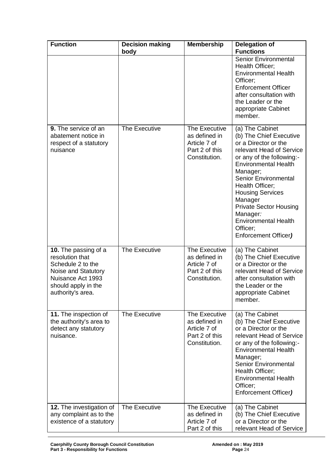| <b>Function</b>                                                                                                                                      | <b>Decision making</b><br>body | <b>Membership</b>                                                                 | <b>Delegation of</b><br><b>Functions</b>                                                                                                                                                                                                                                                                                                                                |
|------------------------------------------------------------------------------------------------------------------------------------------------------|--------------------------------|-----------------------------------------------------------------------------------|-------------------------------------------------------------------------------------------------------------------------------------------------------------------------------------------------------------------------------------------------------------------------------------------------------------------------------------------------------------------------|
|                                                                                                                                                      |                                |                                                                                   | <b>Senior Environmental</b><br>Health Officer;<br><b>Environmental Health</b><br>Officer;<br><b>Enforcement Officer</b><br>after consultation with<br>the Leader or the<br>appropriate Cabinet<br>member.                                                                                                                                                               |
| <b>9.</b> The service of an<br>abatement notice in<br>respect of a statutory<br>nuisance                                                             | The Executive                  | The Executive<br>as defined in<br>Article 7 of<br>Part 2 of this<br>Constitution. | (a) The Cabinet<br>(b) The Chief Executive<br>or a Director or the<br>relevant Head of Service<br>or any of the following:-<br><b>Environmental Health</b><br>Manager;<br>Senior Environmental<br>Health Officer;<br><b>Housing Services</b><br>Manager<br><b>Private Sector Housing</b><br>Manager:<br><b>Environmental Health</b><br>Officer;<br>Enforcement Officer) |
| 10. The passing of a<br>resolution that<br>Schedule 2 to the<br>Noise and Statutory<br>Nuisance Act 1993<br>should apply in the<br>authority's area. | The Executive                  | The Executive<br>as defined in<br>Article 7 of<br>Part 2 of this<br>Constitution. | (a) The Cabinet<br>(b) The Chief Executive<br>or a Director or the<br>relevant Head of Service<br>after consultation with<br>the Leader or the<br>appropriate Cabinet<br>member.                                                                                                                                                                                        |
| 11. The inspection of<br>the authority's area to<br>detect any statutory<br>nuisance.                                                                | The Executive                  | The Executive<br>as defined in<br>Article 7 of<br>Part 2 of this<br>Constitution. | (a) The Cabinet<br>(b) The Chief Executive<br>or a Director or the<br>relevant Head of Service<br>or any of the following:-<br><b>Environmental Health</b><br>Manager;<br><b>Senior Environmental</b><br>Health Officer;<br><b>Environmental Health</b><br>Officer;<br>Enforcement Officer)                                                                             |
| 12. The investigation of<br>any complaint as to the<br>existence of a statutory                                                                      | The Executive                  | The Executive<br>as defined in<br>Article 7 of<br>Part 2 of this                  | (a) The Cabinet<br>(b) The Chief Executive<br>or a Director or the<br>relevant Head of Service                                                                                                                                                                                                                                                                          |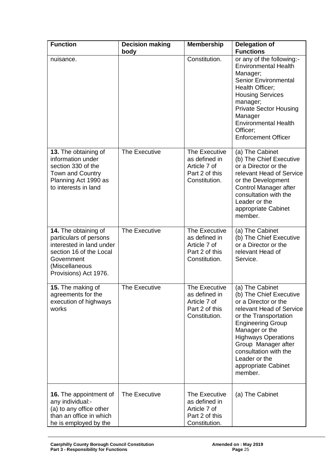| <b>Function</b>                                                                                                                                                | <b>Decision making</b><br>body | <b>Membership</b>                                                                 | <b>Delegation of</b><br><b>Functions</b>                                                                                                                                                                                                                                                               |
|----------------------------------------------------------------------------------------------------------------------------------------------------------------|--------------------------------|-----------------------------------------------------------------------------------|--------------------------------------------------------------------------------------------------------------------------------------------------------------------------------------------------------------------------------------------------------------------------------------------------------|
| nuisance.                                                                                                                                                      |                                | Constitution.                                                                     | or any of the following:-<br><b>Environmental Health</b><br>Manager;<br><b>Senior Environmental</b><br>Health Officer;<br><b>Housing Services</b><br>manager;<br><b>Private Sector Housing</b><br>Manager<br><b>Environmental Health</b><br>Officer;<br><b>Enforcement Officer</b>                     |
| 13. The obtaining of<br>information under<br>section 330 of the<br>Town and Country<br>Planning Act 1990 as<br>to interests in land                            | The Executive                  | The Executive<br>as defined in<br>Article 7 of<br>Part 2 of this<br>Constitution. | (a) The Cabinet<br>(b) The Chief Executive<br>or a Director or the<br>relevant Head of Service<br>or the Development<br>Control Manager after<br>consultation with the<br>Leader or the<br>appropriate Cabinet<br>member.                                                                              |
| 14. The obtaining of<br>particulars of persons<br>interested in land under<br>section 16 of the Local<br>Government<br>(Miscellaneous<br>Provisions) Act 1976. | The Executive                  | The Executive<br>as defined in<br>Article 7 of<br>Part 2 of this<br>Constitution. | (a) The Cabinet<br>(b) The Chief Executive<br>or a Director or the<br>relevant Head of<br>Service.                                                                                                                                                                                                     |
| 15. The making of<br>agreements for the<br>execution of highways<br>works                                                                                      | The Executive                  | The Executive<br>as defined in<br>Article 7 of<br>Part 2 of this<br>Constitution. | (a) The Cabinet<br>(b) The Chief Executive<br>or a Director or the<br>relevant Head of Service<br>or the Transportation<br><b>Engineering Group</b><br>Manager or the<br><b>Highways Operations</b><br>Group Manager after<br>consultation with the<br>Leader or the<br>appropriate Cabinet<br>member. |
| <b>16.</b> The appointment of<br>any individual:-<br>(a) to any office other<br>than an office in which<br>he is employed by the                               | The Executive                  | The Executive<br>as defined in<br>Article 7 of<br>Part 2 of this<br>Constitution. | (a) The Cabinet                                                                                                                                                                                                                                                                                        |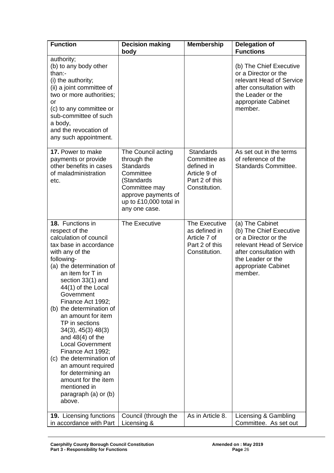| <b>Function</b>                                                                                                                                                                                                                                                                                                                                                                                                                                                                                                                                                        | <b>Decision making</b><br>body                                                                                                                                      | <b>Membership</b>                                                                                 | <b>Delegation of</b><br><b>Functions</b>                                                                                                                                         |
|------------------------------------------------------------------------------------------------------------------------------------------------------------------------------------------------------------------------------------------------------------------------------------------------------------------------------------------------------------------------------------------------------------------------------------------------------------------------------------------------------------------------------------------------------------------------|---------------------------------------------------------------------------------------------------------------------------------------------------------------------|---------------------------------------------------------------------------------------------------|----------------------------------------------------------------------------------------------------------------------------------------------------------------------------------|
| authority;<br>(b) to any body other<br>than:-<br>(i) the authority;<br>(ii) a joint committee of<br>two or more authorities;<br>or<br>(c) to any committee or<br>sub-committee of such<br>a body,<br>and the revocation of<br>any such appointment.                                                                                                                                                                                                                                                                                                                    |                                                                                                                                                                     |                                                                                                   | (b) The Chief Executive<br>or a Director or the<br>relevant Head of Service<br>after consultation with<br>the Leader or the<br>appropriate Cabinet<br>member.                    |
| 17. Power to make<br>payments or provide<br>other benefits in cases<br>of maladministration<br>etc.                                                                                                                                                                                                                                                                                                                                                                                                                                                                    | The Council acting<br>through the<br><b>Standards</b><br>Committee<br>(Standards<br>Committee may<br>approve payments of<br>up to £10,000 total in<br>any one case. | <b>Standards</b><br>Committee as<br>defined in<br>Article 9 of<br>Part 2 of this<br>Constitution. | As set out in the terms<br>of reference of the<br>Standards Committee.                                                                                                           |
| 18. Functions in<br>respect of the<br>calculation of council<br>tax base in accordance<br>with any of the<br>following-<br>(a) the determination of<br>an item for T in<br>section 33(1) and<br>44(1) of the Local<br>Government<br>Finance Act 1992;<br>(b) the determination of<br>an amount for item<br>TP in sections<br>34(3), 45(3) 48(3)<br>and $48(4)$ of the<br><b>Local Government</b><br>Finance Act 1992;<br>(c) the determination of<br>an amount required<br>for determining an<br>amount for the item<br>mentioned in<br>paragraph (a) or (b)<br>above. | The Executive                                                                                                                                                       | The Executive<br>as defined in<br>Article 7 of<br>Part 2 of this<br>Constitution.                 | (a) The Cabinet<br>(b) The Chief Executive<br>or a Director or the<br>relevant Head of Service<br>after consultation with<br>the Leader or the<br>appropriate Cabinet<br>member. |
| 19. Licensing functions<br>in accordance with Part                                                                                                                                                                                                                                                                                                                                                                                                                                                                                                                     | Council (through the<br>Licensing &                                                                                                                                 | As in Article 8.                                                                                  | Licensing & Gambling<br>Committee. As set out                                                                                                                                    |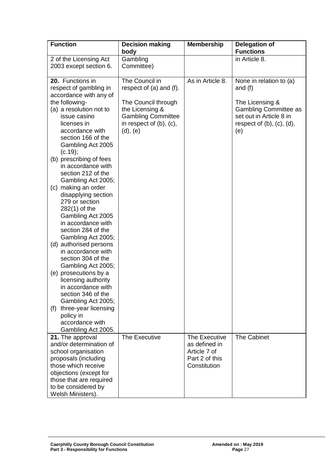| <b>Function</b>                                                                                                                                                                                                                                                                                                                                                                                                                                                                                                                                                                                                                                                                                                                                                               | <b>Decision making</b><br>body                                                                                                                                | <b>Membership</b>                                               | <b>Delegation of</b><br><b>Functions</b>                                                                                                                        |
|-------------------------------------------------------------------------------------------------------------------------------------------------------------------------------------------------------------------------------------------------------------------------------------------------------------------------------------------------------------------------------------------------------------------------------------------------------------------------------------------------------------------------------------------------------------------------------------------------------------------------------------------------------------------------------------------------------------------------------------------------------------------------------|---------------------------------------------------------------------------------------------------------------------------------------------------------------|-----------------------------------------------------------------|-----------------------------------------------------------------------------------------------------------------------------------------------------------------|
| 2 of the Licensing Act                                                                                                                                                                                                                                                                                                                                                                                                                                                                                                                                                                                                                                                                                                                                                        | Gambling                                                                                                                                                      |                                                                 | in Article 8.                                                                                                                                                   |
| 2003 except section 6.                                                                                                                                                                                                                                                                                                                                                                                                                                                                                                                                                                                                                                                                                                                                                        | Committee)                                                                                                                                                    |                                                                 |                                                                                                                                                                 |
| 20. Functions in<br>respect of gambling in<br>accordance with any of<br>the following-<br>(a) a resolution not to<br>issue casino<br>licenses in<br>accordance with<br>section 166 of the<br>Gambling Act 2005<br>(c.19);<br>(b) prescribing of fees<br>in accordance with<br>section 212 of the<br>Gambling Act 2005;<br>(c) making an order<br>disapplying section<br>279 or section<br>$282(1)$ of the<br>Gambling Act 2005<br>in accordance with<br>section 284 of the<br>Gambling Act 2005;<br>(d) authorised persons<br>in accordance with<br>section 304 of the<br>Gambling Act 2005;<br>(e) prosecutions by a<br>licensing authority<br>in accordance with<br>section 346 of the<br>Gambling Act 2005;<br>three-year licensing<br>(f)<br>policy in<br>accordance with | The Council in<br>respect of (a) and (f).<br>The Council through<br>the Licensing &<br><b>Gambling Committee</b><br>in respect of $(b)$ , $(c)$ ,<br>(d), (e) | As in Article 8.                                                | None in relation to (a)<br>and $(f)$<br>The Licensing &<br><b>Gambling Committee as</b><br>set out in Article 8 in<br>respect of $(b)$ , $(c)$ , $(d)$ ,<br>(e) |
| Gambling Act 2005.<br>21. The approval                                                                                                                                                                                                                                                                                                                                                                                                                                                                                                                                                                                                                                                                                                                                        | The Executive                                                                                                                                                 | The Executive                                                   | <b>The Cabinet</b>                                                                                                                                              |
| and/or determination of<br>school organisation<br>proposals (including<br>those which receive<br>objections (except for<br>those that are required<br>to be considered by<br>Welsh Ministers).                                                                                                                                                                                                                                                                                                                                                                                                                                                                                                                                                                                |                                                                                                                                                               | as defined in<br>Article 7 of<br>Part 2 of this<br>Constitution |                                                                                                                                                                 |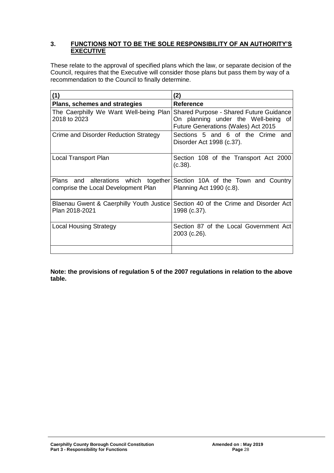#### **3. FUNCTIONS NOT TO BE THE SOLE RESPONSIBILITY OF AN AUTHORITY'S EXECUTIVE**

These relate to the approval of specified plans which the law, or separate decision of the Council, requires that the Executive will consider those plans but pass them by way of a recommendation to the Council to finally determine.

| (1)                                                                         | (2)                                                                                                                   |
|-----------------------------------------------------------------------------|-----------------------------------------------------------------------------------------------------------------------|
| Plans, schemes and strategies                                               | <b>Reference</b>                                                                                                      |
| The Caerphilly We Want Well-being Plan<br>2018 to 2023                      | Shared Purpose - Shared Future Guidance<br>On planning under the Well-being of<br>Future Generations (Wales) Act 2015 |
| Crime and Disorder Reduction Strategy                                       | Sections 5 and 6 of the Crime and<br>Disorder Act 1998 (c.37).                                                        |
| Local Transport Plan                                                        | Section 108 of the Transport Act 2000<br>(c.38).                                                                      |
| Plans and alterations which together<br>comprise the Local Development Plan | Section 10A of the Town and Country<br>Planning Act 1990 (c.8).                                                       |
| Plan 2018-2021                                                              | Blaenau Gwent & Caerphilly Youth Justice Section 40 of the Crime and Disorder Act<br>1998 (c.37).                     |
| <b>Local Housing Strategy</b>                                               | Section 87 of the Local Government Act<br>2003 (c.26).                                                                |
|                                                                             |                                                                                                                       |

**Note: the provisions of regulation 5 of the 2007 regulations in relation to the above table.**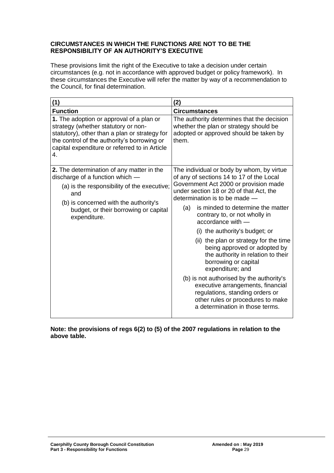#### **CIRCUMSTANCES IN WHICH THE FUNCTIONS ARE NOT TO BE THE RESPONSIBILITY OF AN AUTHORITY'S EXECUTIVE**

These provisions limit the right of the Executive to take a decision under certain circumstances (e.g. not in accordance with approved budget or policy framework). In these circumstances the Executive will refer the matter by way of a recommendation to the Council, for final determination.

| (1)                                                                                                                                                                                                                                    | (2)                                                                                                                                                                                                                                                                                                                                                                                                                                                                                                                                                                                                                                                                                                        |
|----------------------------------------------------------------------------------------------------------------------------------------------------------------------------------------------------------------------------------------|------------------------------------------------------------------------------------------------------------------------------------------------------------------------------------------------------------------------------------------------------------------------------------------------------------------------------------------------------------------------------------------------------------------------------------------------------------------------------------------------------------------------------------------------------------------------------------------------------------------------------------------------------------------------------------------------------------|
| <b>Function</b>                                                                                                                                                                                                                        | <b>Circumstances</b>                                                                                                                                                                                                                                                                                                                                                                                                                                                                                                                                                                                                                                                                                       |
| 1. The adoption or approval of a plan or<br>strategy (whether statutory or non-<br>statutory), other than a plan or strategy for<br>the control of the authority's borrowing or<br>capital expenditure or referred to in Article<br>4. | The authority determines that the decision<br>whether the plan or strategy should be<br>adopted or approved should be taken by<br>them.                                                                                                                                                                                                                                                                                                                                                                                                                                                                                                                                                                    |
| 2. The determination of any matter in the<br>discharge of a function which -<br>(a) is the responsibility of the executive;<br>and<br>(b) is concerned with the authority's<br>budget, or their borrowing or capital<br>expenditure.   | The individual or body by whom, by virtue<br>of any of sections 14 to 17 of the Local<br>Government Act 2000 or provision made<br>under section 18 or 20 of that Act, the<br>determination is to be made -<br>is minded to determine the matter<br>(a)<br>contrary to, or not wholly in<br>$accordance$ with $-$<br>(i) the authority's budget; or<br>(ii) the plan or strategy for the time<br>being approved or adopted by<br>the authority in relation to their<br>borrowing or capital<br>expenditure; and<br>(b) is not authorised by the authority's<br>executive arrangements, financial<br>regulations, standing orders or<br>other rules or procedures to make<br>a determination in those terms. |

**Note: the provisions of regs 6(2) to (5) of the 2007 regulations in relation to the above table.**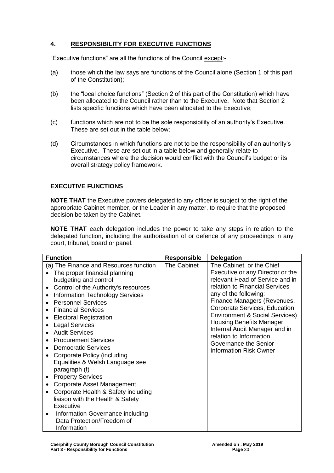# **4. RESPONSIBILITY FOR EXECUTIVE FUNCTIONS**

"Executive functions" are all the functions of the Council except:-

- (a) those which the law says are functions of the Council alone (Section 1 of this part of the Constitution);
- (b) the "local choice functions" (Section 2 of this part of the Constitution) which have been allocated to the Council rather than to the Executive. Note that Section 2 lists specific functions which have been allocated to the Executive;
- (c) functions which are not to be the sole responsibility of an authority's Executive. These are set out in the table below;
- (d) Circumstances in which functions are not to be the responsibility of an authority's Executive. These are set out in a table below and generally relate to circumstances where the decision would conflict with the Council's budget or its overall strategy policy framework.

## **EXECUTIVE FUNCTIONS**

**NOTE THAT** the Executive powers delegated to any officer is subject to the right of the appropriate Cabinet member, or the Leader in any matter, to require that the proposed decision be taken by the Cabinet.

**NOTE THAT** each delegation includes the power to take any steps in relation to the delegated function, including the authorisation of or defence of any proceedings in any court, tribunal, board or panel.

| <b>Function</b>                                                                                                                                                                                                                                                                                                                                                                                                                                                                                                                                                                                                                                                                                                                                                                                  | <b>Responsible</b> | <b>Delegation</b>                                                                                                                                                                                                                                                                                                                                                                                                                  |
|--------------------------------------------------------------------------------------------------------------------------------------------------------------------------------------------------------------------------------------------------------------------------------------------------------------------------------------------------------------------------------------------------------------------------------------------------------------------------------------------------------------------------------------------------------------------------------------------------------------------------------------------------------------------------------------------------------------------------------------------------------------------------------------------------|--------------------|------------------------------------------------------------------------------------------------------------------------------------------------------------------------------------------------------------------------------------------------------------------------------------------------------------------------------------------------------------------------------------------------------------------------------------|
| (a) The Finance and Resources function<br>The proper financial planning<br>budgeting and control<br>Control of the Authority's resources<br>$\bullet$<br><b>Information Technology Services</b><br>$\bullet$<br><b>Personnel Services</b><br><b>Financial Services</b><br><b>Electoral Registration</b><br><b>Legal Services</b><br><b>Audit Services</b><br><b>Procurement Services</b><br><b>Democratic Services</b><br>Corporate Policy (including<br>$\bullet$<br>Equalities & Welsh Language see<br>paragraph (f)<br><b>Property Services</b><br>Corporate Asset Management<br>$\bullet$<br>Corporate Health & Safety including<br>$\bullet$<br>liaison with the Health & Safety<br>Executive<br>Information Governance including<br>$\bullet$<br>Data Protection/Freedom of<br>Information | The Cabinet        | The Cabinet, or the Chief<br>Executive or any Director or the<br>relevant Head of Service and in<br>relation to Financial Services<br>any of the following:<br>Finance Managers (Revenues,<br>Corporate Services, Education,<br><b>Environment &amp; Social Services)</b><br><b>Housing Benefits Manager</b><br>Internal Audit Manager and in<br>relation to Information<br>Governance the Senior<br><b>Information Risk Owner</b> |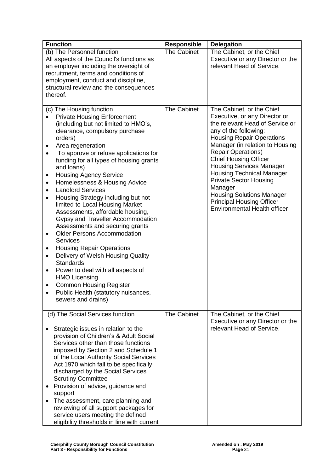| <b>Function</b>                                                                                                                                                                                                                                                                                                                                                                                                                                                                                                                                                                                                                                                                                                                                                                                                                                                                                                                                                      | <b>Responsible</b> | <b>Delegation</b>                                                                                                                                                                                                                                                                                                                                                                                                                                                                            |
|----------------------------------------------------------------------------------------------------------------------------------------------------------------------------------------------------------------------------------------------------------------------------------------------------------------------------------------------------------------------------------------------------------------------------------------------------------------------------------------------------------------------------------------------------------------------------------------------------------------------------------------------------------------------------------------------------------------------------------------------------------------------------------------------------------------------------------------------------------------------------------------------------------------------------------------------------------------------|--------------------|----------------------------------------------------------------------------------------------------------------------------------------------------------------------------------------------------------------------------------------------------------------------------------------------------------------------------------------------------------------------------------------------------------------------------------------------------------------------------------------------|
| (b) The Personnel function<br>All aspects of the Council's functions as<br>an employer including the oversight of<br>recruitment, terms and conditions of<br>employment, conduct and discipline,<br>structural review and the consequences<br>thereof.                                                                                                                                                                                                                                                                                                                                                                                                                                                                                                                                                                                                                                                                                                               | <b>The Cabinet</b> | The Cabinet, or the Chief<br>Executive or any Director or the<br>relevant Head of Service.                                                                                                                                                                                                                                                                                                                                                                                                   |
| (c) The Housing function<br><b>Private Housing Enforcement</b><br>(including but not limited to HMO's,<br>clearance, compulsory purchase<br>orders)<br>Area regeneration<br>٠<br>To approve or refuse applications for<br>funding for all types of housing grants<br>and loans)<br><b>Housing Agency Service</b><br>٠<br>Homelessness & Housing Advice<br>$\bullet$<br><b>Landlord Services</b><br>$\bullet$<br>Housing Strategy including but not<br>limited to Local Housing Market<br>Assessments, affordable housing,<br>Gypsy and Traveller Accommodation<br>Assessments and securing grants<br><b>Older Persons Accommodation</b><br>$\bullet$<br><b>Services</b><br><b>Housing Repair Operations</b><br>$\bullet$<br>Delivery of Welsh Housing Quality<br>$\bullet$<br><b>Standards</b><br>Power to deal with all aspects of<br>٠<br><b>HMO Licensing</b><br><b>Common Housing Register</b><br>٠<br>Public Health (statutory nuisances,<br>sewers and drains) | The Cabinet        | The Cabinet, or the Chief<br>Executive, or any Director or<br>the relevant Head of Service or<br>any of the following:<br><b>Housing Repair Operations</b><br>Manager (in relation to Housing<br><b>Repair Operations)</b><br><b>Chief Housing Officer</b><br><b>Housing Services Manager</b><br><b>Housing Technical Manager</b><br><b>Private Sector Housing</b><br>Manager<br><b>Housing Solutions Manager</b><br><b>Principal Housing Officer</b><br><b>Environmental Health officer</b> |
| (d) The Social Services function                                                                                                                                                                                                                                                                                                                                                                                                                                                                                                                                                                                                                                                                                                                                                                                                                                                                                                                                     | <b>The Cabinet</b> | The Cabinet, or the Chief<br>Executive or any Director or the                                                                                                                                                                                                                                                                                                                                                                                                                                |
| Strategic issues in relation to the<br>provision of Children's & Adult Social<br>Services other than those functions<br>imposed by Section 2 and Schedule 1<br>of the Local Authority Social Services<br>Act 1970 which fall to be specifically<br>discharged by the Social Services<br><b>Scrutiny Committee</b><br>Provision of advice, guidance and<br>support<br>The assessment, care planning and<br>reviewing of all support packages for<br>service users meeting the defined<br>eligibility thresholds in line with current                                                                                                                                                                                                                                                                                                                                                                                                                                  |                    | relevant Head of Service.                                                                                                                                                                                                                                                                                                                                                                                                                                                                    |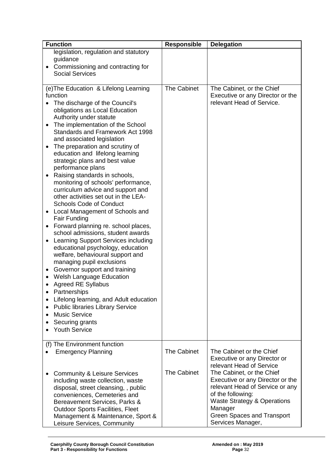| <b>Function</b>                                                                                                                                                                                                                                                                                                                                                                                                                                                                                                                                                                                                                                                                                                                                                                                                                                                                                                                                                                                                                                                                                                                                                                                                        | <b>Responsible</b>                       | <b>Delegation</b>                                                                                                                                                                                                                                                                                                     |
|------------------------------------------------------------------------------------------------------------------------------------------------------------------------------------------------------------------------------------------------------------------------------------------------------------------------------------------------------------------------------------------------------------------------------------------------------------------------------------------------------------------------------------------------------------------------------------------------------------------------------------------------------------------------------------------------------------------------------------------------------------------------------------------------------------------------------------------------------------------------------------------------------------------------------------------------------------------------------------------------------------------------------------------------------------------------------------------------------------------------------------------------------------------------------------------------------------------------|------------------------------------------|-----------------------------------------------------------------------------------------------------------------------------------------------------------------------------------------------------------------------------------------------------------------------------------------------------------------------|
| legislation, regulation and statutory<br>guidance<br>Commissioning and contracting for<br>٠<br><b>Social Services</b>                                                                                                                                                                                                                                                                                                                                                                                                                                                                                                                                                                                                                                                                                                                                                                                                                                                                                                                                                                                                                                                                                                  |                                          |                                                                                                                                                                                                                                                                                                                       |
| (e) The Education & Lifelong Learning<br>function<br>The discharge of the Council's<br>obligations as Local Education<br>Authority under statute<br>The implementation of the School<br>$\bullet$<br>Standards and Framework Act 1998<br>and associated legislation<br>The preparation and scrutiny of<br>٠<br>education and lifelong learning<br>strategic plans and best value<br>performance plans<br>Raising standards in schools,<br>$\bullet$<br>monitoring of schools' performance,<br>curriculum advice and support and<br>other activities set out in the LEA-<br><b>Schools Code of Conduct</b><br>Local Management of Schools and<br>٠<br><b>Fair Funding</b><br>Forward planning re. school places,<br>$\bullet$<br>school admissions, student awards<br>Learning Support Services including<br>educational psychology, education<br>welfare, behavioural support and<br>managing pupil exclusions<br>Governor support and training<br>٠<br><b>Welsh Language Education</b><br><b>Agreed RE Syllabus</b><br>Partnerships<br>Lifelong learning, and Adult education<br><b>Public libraries Library Service</b><br>$\bullet$<br><b>Music Service</b><br>$\bullet$<br>Securing grants<br><b>Youth Service</b> | <b>The Cabinet</b>                       | The Cabinet, or the Chief<br>Executive or any Director or the<br>relevant Head of Service.                                                                                                                                                                                                                            |
| (f) The Environment function<br><b>Emergency Planning</b><br><b>Community &amp; Leisure Services</b><br>including waste collection, waste<br>disposal, street cleansing, , public<br>conveniences, Cemeteries and<br>Bereavement Services, Parks &<br><b>Outdoor Sports Facilities, Fleet</b><br>Management & Maintenance, Sport &<br>Leisure Services, Community                                                                                                                                                                                                                                                                                                                                                                                                                                                                                                                                                                                                                                                                                                                                                                                                                                                      | <b>The Cabinet</b><br><b>The Cabinet</b> | The Cabinet or the Chief<br>Executive or any Director or<br>relevant Head of Service<br>The Cabinet, or the Chief<br>Executive or any Director or the<br>relevant Head of Service or any<br>of the following:<br><b>Waste Strategy &amp; Operations</b><br>Manager<br>Green Spaces and Transport<br>Services Manager, |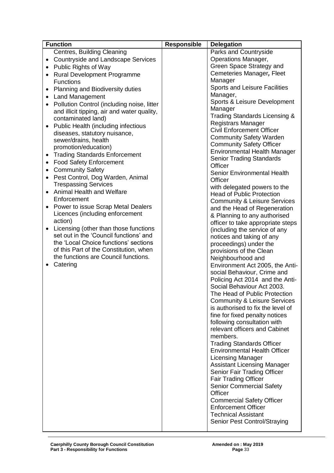| <b>Function</b>                                         | <b>Responsible</b> | <b>Delegation</b>                       |
|---------------------------------------------------------|--------------------|-----------------------------------------|
| Centres, Building Cleaning                              |                    | Parks and Countryside                   |
| <b>Countryside and Landscape Services</b><br>$\bullet$  |                    | <b>Operations Manager,</b>              |
| Public Rights of Way<br>$\bullet$                       |                    | Green Space Strategy and                |
| <b>Rural Development Programme</b><br>$\bullet$         |                    | Cemeteries Manager, Fleet               |
| <b>Functions</b>                                        |                    | Manager                                 |
|                                                         |                    | Sports and Leisure Facilities           |
| Planning and Biodiversity duties<br>٠                   |                    | Manager,                                |
| <b>Land Management</b><br>$\bullet$                     |                    | Sports & Leisure Development            |
| Pollution Control (including noise, litter<br>$\bullet$ |                    | Manager                                 |
| and illicit tipping, air and water quality,             |                    | Trading Standards Licensing &           |
| contaminated land)                                      |                    | <b>Registrars Manager</b>               |
| Public Health (including infectious<br>$\bullet$        |                    | <b>Civil Enforcement Officer</b>        |
| diseases, statutory nuisance,                           |                    | <b>Community Safety Warden</b>          |
| sewer/drains, health                                    |                    | <b>Community Safety Officer</b>         |
| promotion/education)                                    |                    | <b>Environmental Health Manager</b>     |
| <b>Trading Standards Enforcement</b><br>$\bullet$       |                    | <b>Senior Trading Standards</b>         |
| <b>Food Safety Enforcement</b><br>$\bullet$             |                    | Officer                                 |
| <b>Community Safety</b><br>$\bullet$                    |                    | <b>Senior Environmental Health</b>      |
| Pest Control, Dog Warden, Animal<br>$\bullet$           |                    | Officer                                 |
| <b>Trespassing Services</b>                             |                    | with delegated powers to the            |
| Animal Health and Welfare<br>$\bullet$                  |                    | <b>Head of Public Protection</b>        |
| Enforcement                                             |                    | <b>Community &amp; Leisure Services</b> |
| Power to issue Scrap Metal Dealers                      |                    | and the Head of Regeneration            |
| Licences (including enforcement                         |                    | & Planning to any authorised            |
| action)                                                 |                    | officer to take appropriate steps       |
| Licensing (other than those functions<br>$\bullet$      |                    | (including the service of any           |
| set out in the 'Council functions' and                  |                    | notices and taking of any               |
| the 'Local Choice functions' sections                   |                    | proceedings) under the                  |
| of this Part of the Constitution, when                  |                    | provisions of the Clean                 |
| the functions are Council functions.                    |                    | Neighbourhood and                       |
| Catering<br>$\bullet$                                   |                    | Environment Act 2005, the Anti-         |
|                                                         |                    | social Behaviour, Crime and             |
|                                                         |                    | Policing Act 2014 and the Anti-         |
|                                                         |                    | Social Behaviour Act 2003.              |
|                                                         |                    | The Head of Public Protection           |
|                                                         |                    | <b>Community &amp; Leisure Services</b> |
|                                                         |                    | is authorised to fix the level of       |
|                                                         |                    | fine for fixed penalty notices          |
|                                                         |                    | following consultation with             |
|                                                         |                    | relevant officers and Cabinet           |
|                                                         |                    | members.                                |
|                                                         |                    | <b>Trading Standards Officer</b>        |
|                                                         |                    | <b>Environmental Health Officer</b>     |
|                                                         |                    | <b>Licensing Manager</b>                |
|                                                         |                    | <b>Assistant Licensing Manager</b>      |
|                                                         |                    |                                         |
|                                                         |                    | Senior Fair Trading Officer             |
|                                                         |                    | <b>Fair Trading Officer</b>             |
|                                                         |                    | <b>Senior Commercial Safety</b>         |
|                                                         |                    | Officer                                 |
|                                                         |                    | <b>Commercial Safety Officer</b>        |
|                                                         |                    | <b>Enforcement Officer</b>              |
|                                                         |                    | <b>Technical Assistant</b>              |
|                                                         |                    | Senior Pest Control/Straying            |
|                                                         |                    |                                         |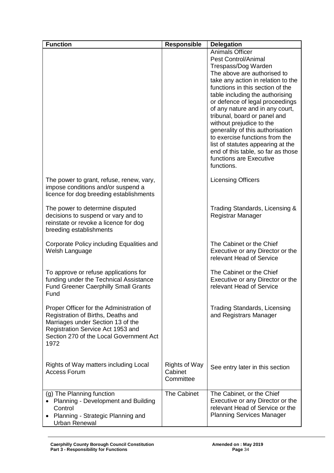| <b>Function</b>                             | <b>Responsible</b>   | <b>Delegation</b>                                                   |
|---------------------------------------------|----------------------|---------------------------------------------------------------------|
|                                             |                      | <b>Animals Officer</b>                                              |
|                                             |                      | <b>Pest Control/Animal</b>                                          |
|                                             |                      | Trespass/Dog Warden                                                 |
|                                             |                      | The above are authorised to                                         |
|                                             |                      | take any action in relation to the                                  |
|                                             |                      | functions in this section of the                                    |
|                                             |                      | table including the authorising                                     |
|                                             |                      | or defence of legal proceedings                                     |
|                                             |                      | of any nature and in any court,                                     |
|                                             |                      | tribunal, board or panel and                                        |
|                                             |                      | without prejudice to the                                            |
|                                             |                      | generality of this authorisation                                    |
|                                             |                      | to exercise functions from the                                      |
|                                             |                      | list of statutes appearing at the                                   |
|                                             |                      | end of this table, so far as those                                  |
|                                             |                      | functions are Executive                                             |
|                                             |                      | functions.                                                          |
| The power to grant, refuse, renew, vary,    |                      | <b>Licensing Officers</b>                                           |
| impose conditions and/or suspend a          |                      |                                                                     |
| licence for dog breeding establishments     |                      |                                                                     |
|                                             |                      |                                                                     |
| The power to determine disputed             |                      | Trading Standards, Licensing &                                      |
| decisions to suspend or vary and to         |                      | Registrar Manager                                                   |
| reinstate or revoke a licence for dog       |                      |                                                                     |
| breeding establishments                     |                      |                                                                     |
|                                             |                      |                                                                     |
| Corporate Policy including Equalities and   |                      | The Cabinet or the Chief                                            |
| Welsh Language                              |                      | Executive or any Director or the                                    |
|                                             |                      | relevant Head of Service                                            |
|                                             |                      |                                                                     |
| To approve or refuse applications for       |                      | The Cabinet or the Chief                                            |
| funding under the Technical Assistance      |                      | Executive or any Director or the                                    |
| <b>Fund Greener Caerphilly Small Grants</b> |                      | relevant Head of Service                                            |
| Fund                                        |                      |                                                                     |
| Proper Officer for the Administration of    |                      | <b>Trading Standards, Licensing</b>                                 |
| Registration of Births, Deaths and          |                      | and Registrars Manager                                              |
| Marriages under Section 13 of the           |                      |                                                                     |
| Registration Service Act 1953 and           |                      |                                                                     |
| Section 270 of the Local Government Act     |                      |                                                                     |
| 1972                                        |                      |                                                                     |
|                                             |                      |                                                                     |
|                                             |                      |                                                                     |
| Rights of Way matters including Local       | <b>Rights of Way</b> | See entry later in this section                                     |
| <b>Access Forum</b>                         | Cabinet              |                                                                     |
|                                             | Committee            |                                                                     |
|                                             |                      |                                                                     |
| (g) The Planning function                   | <b>The Cabinet</b>   | The Cabinet, or the Chief                                           |
| Planning - Development and Building         |                      | Executive or any Director or the<br>relevant Head of Service or the |
| Control                                     |                      |                                                                     |
| Planning - Strategic Planning and           |                      | <b>Planning Services Manager</b>                                    |
| <b>Urban Renewal</b>                        |                      |                                                                     |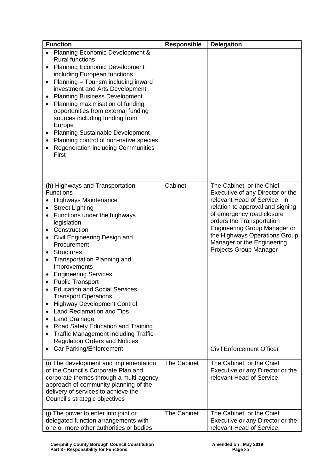| <b>Function</b>                                                                                                                                                                                                                                                                                                                                                                                                                                                                                                                                                                                                                                                                                                                                           | <b>Responsible</b> | <b>Delegation</b>                                                                                                                                                                                                                                                                                                                                               |
|-----------------------------------------------------------------------------------------------------------------------------------------------------------------------------------------------------------------------------------------------------------------------------------------------------------------------------------------------------------------------------------------------------------------------------------------------------------------------------------------------------------------------------------------------------------------------------------------------------------------------------------------------------------------------------------------------------------------------------------------------------------|--------------------|-----------------------------------------------------------------------------------------------------------------------------------------------------------------------------------------------------------------------------------------------------------------------------------------------------------------------------------------------------------------|
| <b>Planning Economic Development &amp;</b><br><b>Rural functions</b><br><b>Planning Economic Development</b><br>$\bullet$<br>including European functions<br>Planning - Tourism including inward<br>$\bullet$<br>investment and Arts Development<br><b>Planning Business Development</b><br>Planning maximisation of funding<br>opportunities from external funding<br>sources including funding from<br>Europe<br><b>Planning Sustainable Development</b><br>$\bullet$<br>Planning control of non-native species<br>٠<br><b>Regeneration including Communities</b><br>First                                                                                                                                                                              |                    |                                                                                                                                                                                                                                                                                                                                                                 |
| (h) Highways and Transportation<br><b>Functions</b><br><b>Highways Maintenance</b><br><b>Street Lighting</b><br>٠<br>Functions under the highways<br>legislation<br>Construction<br>$\bullet$<br>Civil Engineering Design and<br>$\bullet$<br>Procurement<br><b>Structures</b><br><b>Transportation Planning and</b><br>٠<br>Improvements<br><b>Engineering Services</b><br>$\bullet$<br><b>Public Transport</b><br><b>Education and Social Services</b><br><b>Transport Operations</b><br><b>Highway Development Control</b><br>Land Reclamation and Tips<br>٠<br><b>Land Drainage</b><br>٠<br>Road Safety Education and Training<br>٠<br><b>Traffic Management including Traffic</b><br><b>Regulation Orders and Notices</b><br>Car Parking/Enforcement | Cabinet            | The Cabinet, or the Chief<br>Executive of any Director or the<br>relevant Head of Service. In<br>relation to approval and signing<br>of emergency road closure<br>orders the Transportation<br><b>Engineering Group Manager or</b><br>the Highways Operations Group<br>Manager or the Engineering<br>Projects Group Manager<br><b>Civil Enforcement Officer</b> |
| (i) The development and implementation<br>of the Council's Corporate Plan and<br>corporate themes through a multi-agency<br>approach of community planning of the<br>delivery of services to achieve the<br>Council's strategic objectives                                                                                                                                                                                                                                                                                                                                                                                                                                                                                                                | The Cabinet        | The Cabinet, or the Chief<br>Executive or any Director or the<br>relevant Head of Service.                                                                                                                                                                                                                                                                      |
| (j) The power to enter into joint or<br>delegated function arrangements with<br>one or more other authorities or bodies                                                                                                                                                                                                                                                                                                                                                                                                                                                                                                                                                                                                                                   | <b>The Cabinet</b> | The Cabinet, or the Chief<br>Executive or any Director or the<br>relevant Head of Service.                                                                                                                                                                                                                                                                      |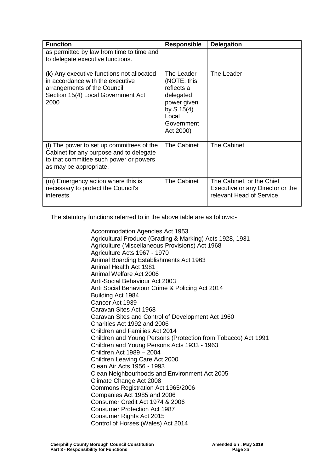| <b>Function</b>                                                                                                                                             | <b>Responsible</b>                                                                                                      | <b>Delegation</b>                                                                          |
|-------------------------------------------------------------------------------------------------------------------------------------------------------------|-------------------------------------------------------------------------------------------------------------------------|--------------------------------------------------------------------------------------------|
| as permitted by law from time to time and<br>to delegate executive functions.                                                                               |                                                                                                                         |                                                                                            |
| (k) Any executive functions not allocated<br>in accordance with the executive<br>arrangements of the Council.<br>Section 15(4) Local Government Act<br>2000 | The Leader<br>(NOTE: this<br>reflects a<br>delegated<br>power given<br>by $S.15(4)$<br>Local<br>Government<br>Act 2000) | The Leader                                                                                 |
| (I) The power to set up committees of the<br>Cabinet for any purpose and to delegate<br>to that committee such power or powers<br>as may be appropriate.    | The Cabinet                                                                                                             | <b>The Cabinet</b>                                                                         |
| (m) Emergency action where this is<br>necessary to protect the Council's<br>interests.                                                                      | <b>The Cabinet</b>                                                                                                      | The Cabinet, or the Chief<br>Executive or any Director or the<br>relevant Head of Service. |

The statutory functions referred to in the above table are as follows:-

Accommodation Agencies Act 1953 Agricultural Produce (Grading & Marking) Acts 1928, 1931 Agriculture (Miscellaneous Provisions) Act 1968 Agriculture Acts 1967 - 1970 Animal Boarding Establishments Act 1963 Animal Health Act 1981 Animal Welfare Act 2006 Anti-Social Behaviour Act 2003 Anti Social Behaviour Crime & Policing Act 2014 Building Act 1984 Cancer Act 1939 Caravan Sites Act 1968 Caravan Sites and Control of Development Act 1960 Charities Act 1992 and 2006 Children and Families Act 2014 Children and Young Persons (Protection from Tobacco) Act 1991 Children and Young Persons Acts 1933 - 1963 Children Act 1989 – 2004 Children Leaving Care Act 2000 Clean Air Acts 1956 - 1993 Clean Neighbourhoods and Environment Act 2005 Climate Change Act 2008 Commons Registration Act 1965/2006 Companies Act 1985 and 2006 Consumer Credit Act 1974 & 2006 Consumer Protection Act 1987 Consumer Rights Act 2015 Control of Horses (Wales) Act 2014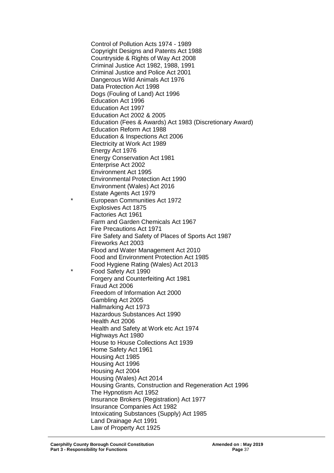Control of Pollution Acts 1974 - 1989 Copyright Designs and Patents Act 1988 Countryside & Rights of Way Act 2008 Criminal Justice Act 1982, 1988, 1991 Criminal Justice and Police Act 2001 Dangerous Wild Animals Act 1976 Data Protection Act 1998 Dogs (Fouling of Land) Act 1996 Education Act 1996 Education Act 1997 Education Act 2002 & 2005 Education (Fees & Awards) Act 1983 (Discretionary Award) Education Reform Act 1988 Education & Inspections Act 2006 Electricity at Work Act 1989 Energy Act 1976 Energy Conservation Act 1981 Enterprise Act 2002 Environment Act 1995 Environmental Protection Act 1990 Environment (Wales) Act 2016 Estate Agents Act 1979 **European Communities Act 1972** Explosives Act 1875 Factories Act 1961 Farm and Garden Chemicals Act 1967 Fire Precautions Act 1971 Fire Safety and Safety of Places of Sports Act 1987 Fireworks Act 2003 Flood and Water Management Act 2010 Food and Environment Protection Act 1985 Food Hygiene Rating (Wales) Act 2013 Food Safety Act 1990 Forgery and Counterfeiting Act 1981 Fraud Act 2006 Freedom of Information Act 2000 Gambling Act 2005 Hallmarking Act 1973 Hazardous Substances Act 1990 Health Act 2006 Health and Safety at Work etc Act 1974 Highways Act 1980 House to House Collections Act 1939 Home Safety Act 1961 Housing Act 1985 Housing Act 1996 Housing Act 2004 Housing (Wales) Act 2014 Housing Grants, Construction and Regeneration Act 1996 The Hypnotism Act 1952 Insurance Brokers (Registration) Act 1977 Insurance Companies Act 1982 Intoxicating Substances (Supply) Act 1985 Land Drainage Act 1991 Law of Property Act 1925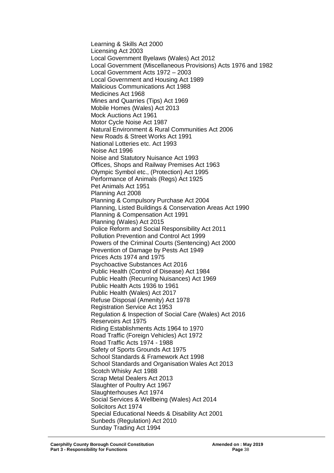Learning & Skills Act 2000 Licensing Act 2003 Local Government Byelaws (Wales) Act 2012 Local Government (Miscellaneous Provisions) Acts 1976 and 1982 Local Government Acts 1972 – 2003 Local Government and Housing Act 1989 Malicious Communications Act 1988 Medicines Act 1968 Mines and Quarries (Tips) Act 1969 Mobile Homes (Wales) Act 2013 Mock Auctions Act 1961 Motor Cycle Noise Act 1987 Natural Environment & Rural Communities Act 2006 New Roads & Street Works Act 1991 National Lotteries etc. Act 1993 Noise Act 1996 Noise and Statutory Nuisance Act 1993 Offices, Shops and Railway Premises Act 1963 Olympic Symbol etc., (Protection) Act 1995 Performance of Animals (Regs) Act 1925 Pet Animals Act 1951 Planning Act 2008 Planning & Compulsory Purchase Act 2004 Planning, Listed Buildings & Conservation Areas Act 1990 Planning & Compensation Act 1991 Planning (Wales) Act 2015 Police Reform and Social Responsibility Act 2011 Pollution Prevention and Control Act 1999 Powers of the Criminal Courts (Sentencing) Act 2000 Prevention of Damage by Pests Act 1949 Prices Acts 1974 and 1975 Psychoactive Substances Act 2016 Public Health (Control of Disease) Act 1984 Public Health (Recurring Nuisances) Act 1969 Public Health Acts 1936 to 1961 Public Health (Wales) Act 2017 Refuse Disposal (Amenity) Act 1978 Registration Service Act 1953 Regulation & Inspection of Social Care (Wales) Act 2016 Reservoirs Act 1975 Riding Establishments Acts 1964 to 1970 Road Traffic (Foreign Vehicles) Act 1972 Road Traffic Acts 1974 - 1988 Safety of Sports Grounds Act 1975 School Standards & Framework Act 1998 School Standards and Organisation Wales Act 2013 Scotch Whisky Act 1988 Scrap Metal Dealers Act 2013 Slaughter of Poultry Act 1967 Slaughterhouses Act 1974 Social Services & Wellbeing (Wales) Act 2014 Solicitors Act 1974 Special Educational Needs & Disability Act 2001 Sunbeds (Regulation) Act 2010 Sunday Trading Act 1994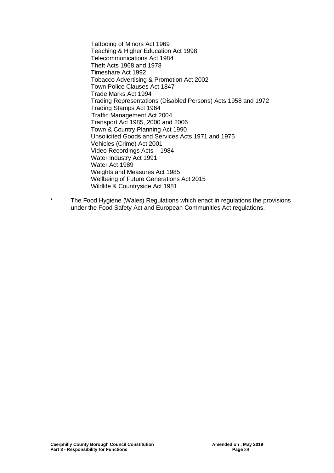Tattooing of Minors Act 1969 Teaching & Higher Education Act 1998 Telecommunications Act 1984 Theft Acts 1968 and 1978 Timeshare Act 1992 Tobacco Advertising & Promotion Act 2002 Town Police Clauses Act 1847 Trade Marks Act 1994 Trading Representations (Disabled Persons) Acts 1958 and 1972 Trading Stamps Act 1964 Traffic Management Act 2004 Transport Act 1985, 2000 and 2006 Town & Country Planning Act 1990 Unsolicited Goods and Services Acts 1971 and 1975 Vehicles (Crime) Act 2001 Video Recordings Acts – 1984 Water Industry Act 1991 Water Act 1989 Weights and Measures Act 1985 Wellbeing of Future Generations Act 2015 Wildlife & Countryside Act 1981

\* The Food Hygiene (Wales) Regulations which enact in regulations the provisions under the Food Safety Act and European Communities Act regulations.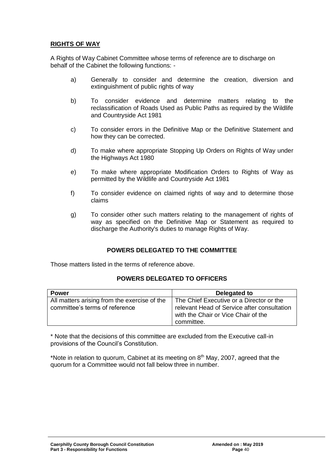## **RIGHTS OF WAY**

A Rights of Way Cabinet Committee whose terms of reference are to discharge on behalf of the Cabinet the following functions: -

- a) Generally to consider and determine the creation, diversion and extinguishment of public rights of way
- b) To consider evidence and determine matters relating to the reclassification of Roads Used as Public Paths as required by the Wildlife and Countryside Act 1981
- c) To consider errors in the Definitive Map or the Definitive Statement and how they can be corrected.
- d) To make where appropriate Stopping Up Orders on Rights of Way under the Highways Act 1980
- e) To make where appropriate Modification Orders to Rights of Way as permitted by the Wildlife and Countryside Act 1981
- f) To consider evidence on claimed rights of way and to determine those claims
- g) To consider other such matters relating to the management of rights of way as specified on the Definitive Map or Statement as required to discharge the Authority's duties to manage Rights of Way.

## **POWERS DELEGATED TO THE COMMITTEE**

Those matters listed in the terms of reference above.

## **POWERS DELEGATED TO OFFICERS**

| <b>Power</b>                                                                   | Delegated to                                                                                                                   |
|--------------------------------------------------------------------------------|--------------------------------------------------------------------------------------------------------------------------------|
| All matters arising from the exercise of the<br>committee's terms of reference | The Chief Executive or a Director or the<br>relevant Head of Service after consultation<br>with the Chair or Vice Chair of the |
|                                                                                | committee.                                                                                                                     |

\* Note that the decisions of this committee are excluded from the Executive call-in provisions of the Council's Constitution.

\*Note in relation to quorum, Cabinet at its meeting on  $8<sup>th</sup>$  May, 2007, agreed that the quorum for a Committee would not fall below three in number.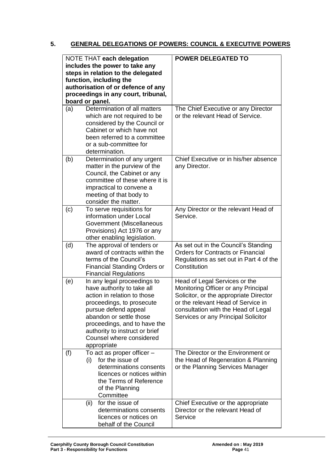# **5. GENERAL DELEGATIONS OF POWERS: COUNCIL & EXECUTIVE POWERS**

| NOTE THAT each delegation<br>includes the power to take any<br>steps in relation to the delegated<br>function, including the<br>authorisation of or defence of any<br>proceedings in any court, tribunal,<br>board or panel. |                                                                                                                                                                                                                                                                                       | <b>POWER DELEGATED TO</b>                                                                                                                                                                                                          |
|------------------------------------------------------------------------------------------------------------------------------------------------------------------------------------------------------------------------------|---------------------------------------------------------------------------------------------------------------------------------------------------------------------------------------------------------------------------------------------------------------------------------------|------------------------------------------------------------------------------------------------------------------------------------------------------------------------------------------------------------------------------------|
| (a)                                                                                                                                                                                                                          | Determination of all matters<br>which are not required to be<br>considered by the Council or<br>Cabinet or which have not<br>been referred to a committee<br>or a sub-committee for<br>determination.                                                                                 | The Chief Executive or any Director<br>or the relevant Head of Service.                                                                                                                                                            |
| (b)                                                                                                                                                                                                                          | Determination of any urgent<br>matter in the purview of the<br>Council, the Cabinet or any<br>committee of these where it is<br>impractical to convene a<br>meeting of that body to<br>consider the matter.                                                                           | Chief Executive or in his/her absence<br>any Director.                                                                                                                                                                             |
| (c)                                                                                                                                                                                                                          | To serve requisitions for<br>information under Local<br>Government (Miscellaneous<br>Provisions) Act 1976 or any<br>other enabling legislation.                                                                                                                                       | Any Director or the relevant Head of<br>Service.                                                                                                                                                                                   |
| (d)                                                                                                                                                                                                                          | The approval of tenders or<br>award of contracts within the<br>terms of the Council's<br><b>Financial Standing Orders or</b><br><b>Financial Regulations</b>                                                                                                                          | As set out in the Council's Standing<br><b>Orders for Contracts or Financial</b><br>Regulations as set out in Part 4 of the<br>Constitution                                                                                        |
| (e)                                                                                                                                                                                                                          | In any legal proceedings to<br>have authority to take all<br>action in relation to those<br>proceedings, to prosecute<br>pursue defend appeal<br>abandon or settle those<br>proceedings, and to have the<br>authority to instruct or brief<br>Counsel where considered<br>appropriate | Head of Legal Services or the<br>Monitoring Officer or any Principal<br>Solicitor, or the appropriate Director<br>or the relevant Head of Service in<br>consultation with the Head of Legal<br>Services or any Principal Solicitor |
| (f)                                                                                                                                                                                                                          | To act as proper officer -<br>for the issue of<br>(i)<br>determinations consents<br>licences or notices within<br>the Terms of Reference<br>of the Planning<br>Committee                                                                                                              | The Director or the Environment or<br>the Head of Regeneration & Planning<br>or the Planning Services Manager                                                                                                                      |
|                                                                                                                                                                                                                              | (ii)<br>for the issue of<br>determinations consents<br>licences or notices on<br>behalf of the Council                                                                                                                                                                                | Chief Executive or the appropriate<br>Director or the relevant Head of<br>Service                                                                                                                                                  |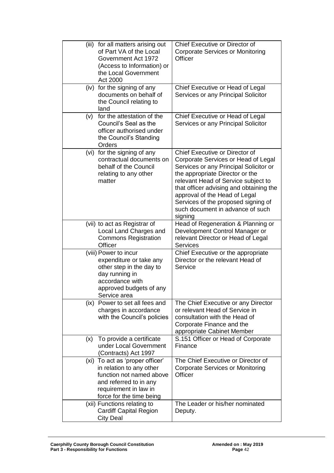|     | (iii) for all matters arising out<br>of Part VA of the Local<br>Government Act 1972<br>(Access to Information) or<br>the Local Government<br>Act 2000                  | Chief Executive or Director of<br><b>Corporate Services or Monitoring</b><br>Officer                                                                                                                                                                                                                                                                        |
|-----|------------------------------------------------------------------------------------------------------------------------------------------------------------------------|-------------------------------------------------------------------------------------------------------------------------------------------------------------------------------------------------------------------------------------------------------------------------------------------------------------------------------------------------------------|
|     | (iv) for the signing of any<br>documents on behalf of<br>the Council relating to<br>land                                                                               | Chief Executive or Head of Legal<br>Services or any Principal Solicitor                                                                                                                                                                                                                                                                                     |
| (v) | for the attestation of the<br>Council's Seal as the<br>officer authorised under<br>the Council's Standing<br>Orders                                                    | Chief Executive or Head of Legal<br>Services or any Principal Solicitor                                                                                                                                                                                                                                                                                     |
|     | (vi) for the signing of any<br>contractual documents on<br>behalf of the Council<br>relating to any other<br>matter                                                    | Chief Executive or Director of<br>Corporate Services or Head of Legal<br>Services or any Principal Solicitor or<br>the appropriate Director or the<br>relevant Head of Service subject to<br>that officer advising and obtaining the<br>approval of the Head of Legal<br>Services of the proposed signing of<br>such document in advance of such<br>signing |
|     | (vii) to act as Registrar of<br>Local Land Charges and<br><b>Commons Registration</b><br>Officer                                                                       | Head of Regeneration & Planning or<br>Development Control Manager or<br>relevant Director or Head of Legal<br><b>Services</b>                                                                                                                                                                                                                               |
|     | (viii) Power to incur<br>expenditure or take any<br>other step in the day to<br>day running in<br>accordance with<br>approved budgets of any<br>Service area           | Chief Executive or the appropriate<br>Director or the relevant Head of<br>Service                                                                                                                                                                                                                                                                           |
|     | (ix) Power to set all fees and<br>charges in accordance<br>with the Council's policies                                                                                 | The Chief Executive or any Director<br>or relevant Head of Service in<br>consultation with the Head of<br>Corporate Finance and the<br>appropriate Cabinet Member                                                                                                                                                                                           |
| (x) | To provide a certificate<br>under Local Government<br>(Contracts) Act 1997                                                                                             | S.151 Officer or Head of Corporate<br>Finance                                                                                                                                                                                                                                                                                                               |
|     | (xi) To act as 'proper officer'<br>in relation to any other<br>function not named above<br>and referred to in any<br>requirement in law in<br>force for the time being | The Chief Executive or Director of<br>Corporate Services or Monitoring<br>Officer                                                                                                                                                                                                                                                                           |
|     | (xii) Functions relating to<br><b>Cardiff Capital Region</b><br>City Deal                                                                                              | The Leader or his/her nominated<br>Deputy.                                                                                                                                                                                                                                                                                                                  |